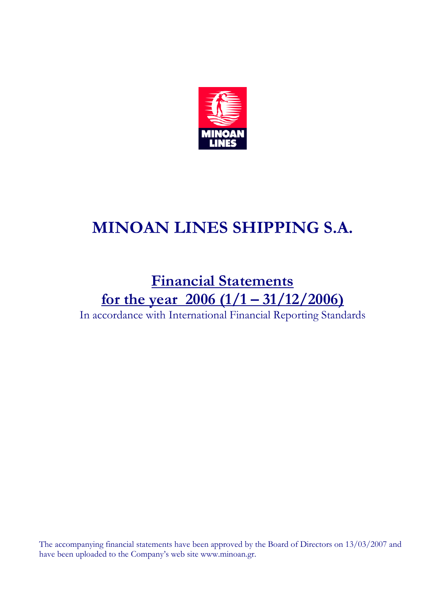

# MINOAN LINES SHIPPING S.A.

## Financial Statements for the year  $2006 (1/1 - 31/12/2006)$ In accordance with International Financial Reporting Standards

The accompanying financial statements have been approved by the Board of Directors on 13/03/2007 and have been uploaded to the Company's web site www.minoan.gr.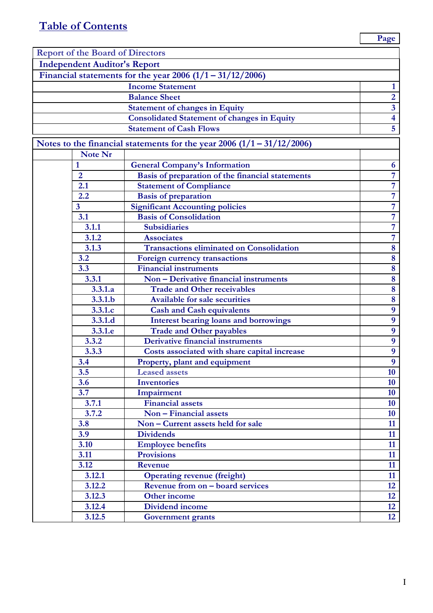$\sqrt{ }$ 

| <b>Report of the Board of Directors</b>                     |                                      |                                                                          |                                           |  |  |  |  |  |
|-------------------------------------------------------------|--------------------------------------|--------------------------------------------------------------------------|-------------------------------------------|--|--|--|--|--|
| <b>Independent Auditor's Report</b>                         |                                      |                                                                          |                                           |  |  |  |  |  |
| Financial statements for the year 2006 $(1/1 - 31/12/2006)$ |                                      |                                                                          |                                           |  |  |  |  |  |
| <b>Income Statement</b>                                     |                                      |                                                                          |                                           |  |  |  |  |  |
| <b>Balance Sheet</b>                                        |                                      |                                                                          |                                           |  |  |  |  |  |
| <b>Statement of changes in Equity</b>                       |                                      |                                                                          |                                           |  |  |  |  |  |
|                                                             |                                      | <b>Consolidated Statement of changes in Equity</b>                       | $\overline{\mathbf{3}}$<br>$\overline{4}$ |  |  |  |  |  |
|                                                             |                                      | <b>Statement of Cash Flows</b>                                           | $\overline{5}$                            |  |  |  |  |  |
|                                                             |                                      |                                                                          |                                           |  |  |  |  |  |
|                                                             |                                      | Notes to the financial statements for the year $2006 (1/1 - 31/12/2006)$ |                                           |  |  |  |  |  |
|                                                             | Note Nr                              |                                                                          |                                           |  |  |  |  |  |
|                                                             | $\mathbf{1}$                         | <b>General Company's Information</b>                                     | 6                                         |  |  |  |  |  |
|                                                             | $\overline{2}$                       | Basis of preparation of the financial statements                         | $\overline{7}$                            |  |  |  |  |  |
|                                                             | 2.1                                  | <b>Statement of Compliance</b>                                           | $\overline{7}$                            |  |  |  |  |  |
|                                                             | 2.2                                  | <b>Basis of preparation</b>                                              | $\overline{7}$                            |  |  |  |  |  |
|                                                             | $\overline{3}$                       | <b>Significant Accounting policies</b>                                   | $\overline{7}$                            |  |  |  |  |  |
|                                                             | 3.1                                  | <b>Basis of Consolidation</b>                                            | $\overline{7}$                            |  |  |  |  |  |
|                                                             | 3.1.1                                | <b>Subsidiaries</b>                                                      | $\overline{7}$                            |  |  |  |  |  |
|                                                             | 3.1.2                                | <b>Associates</b>                                                        | $\overline{7}$                            |  |  |  |  |  |
|                                                             | 3.1.3                                | <b>Transactions eliminated on Consolidation</b>                          | $\bf{8}$<br>$\overline{\mathbf{8}}$       |  |  |  |  |  |
|                                                             | 3.2<br>Foreign currency transactions |                                                                          |                                           |  |  |  |  |  |
|                                                             | <b>Financial instruments</b><br>3.3  |                                                                          |                                           |  |  |  |  |  |
|                                                             | 3.3.1                                | Non - Derivative financial instruments                                   | ${\bf 8}$                                 |  |  |  |  |  |
|                                                             | 3.3.1.a                              | <b>Trade and Other receivables</b>                                       | $\overline{\mathbf{8}}$                   |  |  |  |  |  |
|                                                             | 3.3.1.b                              | <b>Available for sale securities</b>                                     | $\overline{\mathbf{8}}$                   |  |  |  |  |  |
|                                                             | 3.3.1.c                              | <b>Cash and Cash equivalents</b>                                         | $\overline{9}$                            |  |  |  |  |  |
|                                                             | 3.3.1.d                              | <b>Interest bearing loans and borrowings</b>                             | $\boldsymbol{9}$                          |  |  |  |  |  |
|                                                             | 3.3.1.e                              | <b>Trade and Other payables</b>                                          | $\boldsymbol{9}$                          |  |  |  |  |  |
|                                                             | 3.3.2                                | <b>Derivative financial instruments</b>                                  | $\overline{9}$                            |  |  |  |  |  |
|                                                             | 3.3.3                                | Costs associated with share capital increase                             | $\boldsymbol{9}$                          |  |  |  |  |  |
|                                                             | 3.4                                  | Property, plant and equipment                                            | $\boldsymbol{9}$                          |  |  |  |  |  |
|                                                             | 3.5                                  | <b>Leased</b> assets                                                     | 10                                        |  |  |  |  |  |
|                                                             | 3.6                                  | <b>Inventories</b>                                                       | 10                                        |  |  |  |  |  |
|                                                             | 3.7                                  | Impairment                                                               | 10                                        |  |  |  |  |  |
|                                                             | 3.7.1                                | <b>Financial assets</b>                                                  | 10                                        |  |  |  |  |  |
|                                                             | 3.7.2                                | Non - Financial assets                                                   | 10                                        |  |  |  |  |  |
|                                                             | 3.8                                  | Non - Current assets held for sale                                       | 11                                        |  |  |  |  |  |
|                                                             | 3.9                                  | <b>Dividends</b>                                                         | 11                                        |  |  |  |  |  |
|                                                             | 3.10                                 | <b>Employee benefits</b>                                                 | 11                                        |  |  |  |  |  |
|                                                             | 3.11                                 | <b>Provisions</b>                                                        | 11                                        |  |  |  |  |  |
|                                                             | 3.12                                 | <b>Revenue</b>                                                           | 11                                        |  |  |  |  |  |
|                                                             | 3.12.1                               | <b>Operating revenue (freight)</b>                                       | 11                                        |  |  |  |  |  |
|                                                             | 3.12.2                               | Revenue from on - board services                                         | 12                                        |  |  |  |  |  |
|                                                             | 3.12.3                               | Other income                                                             |                                           |  |  |  |  |  |
|                                                             | 3.12.4                               | <b>Dividend income</b>                                                   | 12                                        |  |  |  |  |  |
|                                                             | 3.12.5                               | <b>Government grants</b>                                                 | 12 <sup>12</sup>                          |  |  |  |  |  |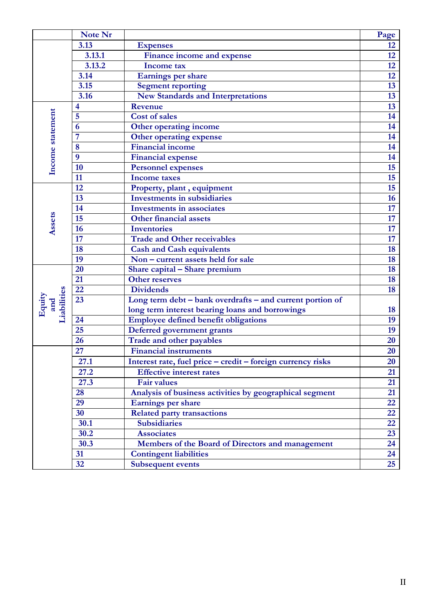|                              | Note Nr |                                                             | Page            |
|------------------------------|---------|-------------------------------------------------------------|-----------------|
|                              | 3.13    | <b>Expenses</b>                                             | 12              |
|                              | 3.13.1  | Finance income and expense                                  | $\overline{12}$ |
|                              | 3.13.2  | <b>Income</b> tax                                           | 12              |
|                              | 3.14    | Earnings per share                                          | 12              |
|                              | 3.15    | <b>Segment reporting</b>                                    | 13              |
|                              | 3.16    | <b>New Standards and Interpretations</b>                    | 13              |
|                              | 4       | Revenue                                                     | 13              |
| Income statement             | 5       | <b>Cost of sales</b>                                        | 14              |
|                              | 6       | Other operating income                                      | 14              |
|                              | 7       | Other operating expense                                     | 14              |
|                              | 8       | <b>Financial income</b>                                     | 14              |
|                              | 9       | <b>Financial expense</b>                                    | 14              |
|                              | 10      | <b>Personnel expenses</b>                                   | 15              |
|                              | 11      | <b>Income taxes</b>                                         | 15              |
|                              | 12      | Property, plant, equipment                                  | 15              |
|                              | 13      | <b>Investments in subsidiaries</b>                          | 16              |
|                              | 14      | <b>Investments in associates</b>                            | 17              |
| Assets                       | 15      | Other financial assets                                      | 17              |
|                              | 16      | <b>Inventories</b>                                          | 17              |
|                              | 17      | <b>Trade and Other receivables</b>                          | 17              |
|                              | 18      | <b>Cash and Cash equivalents</b>                            | 18              |
|                              | 19      | Non-current assets held for sale                            | 18              |
|                              | 20      | Share capital - Share premium                               | 18              |
|                              | 21      | <b>Other reserves</b>                                       | 18              |
| Equity<br>and<br>Liabilities | 22      | <b>Dividends</b>                                            | 18              |
|                              | 23      | Long term debt - bank overdrafts - and current portion of   |                 |
|                              |         | long term interest bearing loans and borrowings             | 18              |
|                              | 24      | <b>Employee defined benefit obligations</b>                 | 19              |
|                              | 25      | Deferred government grants                                  | 19              |
|                              | 26      | Trade and other payables                                    | 20              |
|                              | 27      | <b>Financial instruments</b>                                | 20              |
|                              | 27.1    | Interest rate, fuel price - credit - foreign currency risks | <b>20</b>       |
|                              | 27.2    | <b>Effective interest rates</b>                             | 21              |
|                              | 27.3    | <b>Fair values</b>                                          | 21              |
|                              | 28      | Analysis of business activities by geographical segment     | 21              |
|                              | 29      | <b>Earnings per share</b>                                   | 22              |
|                              | 30      | <b>Related party transactions</b>                           | 22              |
|                              | 30.1    | <b>Subsidiaries</b>                                         | 22              |
|                              | 30.2    | <b>Associates</b>                                           | 23              |
|                              | 30.3    | Members of the Board of Directors and management            | 24              |
|                              | 31      | <b>Contingent liabilities</b>                               | 24              |
|                              | 32      | <b>Subsequent events</b>                                    | 25              |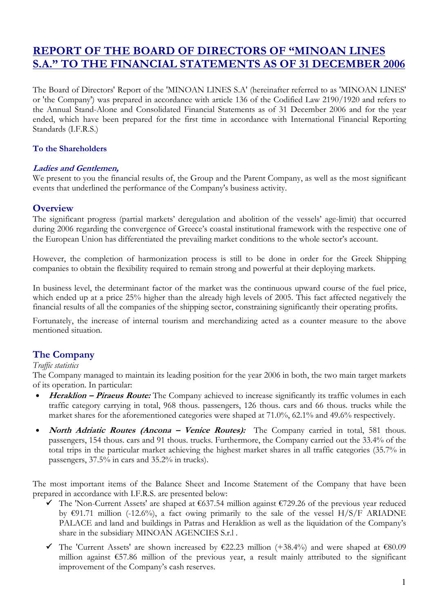## REPORT OF THE BOARD OF DIRECTORS OF "MINOAN LINES S.A." TO THE FINANCIAL STATEMENTS AS OF 31 DECEMBER 2006

The Board of Directors' Report of the 'MINOAN LINES S.A' (hereinafter referred to as 'MINOAN LINES' or 'the Company') was prepared in accordance with article 136 of the Codified Law 2190/1920 and refers to the Annual Stand-Alone and Consolidated Financial Statements as of 31 December 2006 and for the year ended, which have been prepared for the first time in accordance with International Financial Reporting Standards (I.F.R.S.)

## To the Shareholders

#### Ladies and Gentlemen,

We present to you the financial results of, the Group and the Parent Company, as well as the most significant events that underlined the performance of the Company's business activity.

## **Overview**

The significant progress (partial markets' deregulation and abolition of the vessels' age-limit) that occurred during 2006 regarding the convergence of Greece's coastal institutional framework with the respective one of the European Union has differentiated the prevailing market conditions to the whole sector's account.

However, the completion of harmonization process is still to be done in order for the Greek Shipping companies to obtain the flexibility required to remain strong and powerful at their deploying markets.

In business level, the determinant factor of the market was the continuous upward course of the fuel price, which ended up at a price 25% higher than the already high levels of 2005. This fact affected negatively the financial results of all the companies of the shipping sector, constraining significantly their operating profits.

Fortunately, the increase of internal tourism and merchandizing acted as a counter measure to the above mentioned situation.

## The Company

#### Traffic statistics

The Company managed to maintain its leading position for the year 2006 in both, the two main target markets of its operation. In particular:

- Heraklion Piraeus Route: The Company achieved to increase significantly its traffic volumes in each traffic category carrying in total, 968 thous. passengers, 126 thous. cars and 66 thous. trucks while the market shares for the aforementioned categories were shaped at 71.0%, 62.1% and 49.6% respectively.
- North Adriatic Routes (Ancona Venice Routes): The Company carried in total, 581 thous. passengers, 154 thous. cars and 91 thous. trucks. Furthermore, the Company carried out the 33.4% of the total trips in the particular market achieving the highest market shares in all traffic categories (35.7% in passengers, 37.5% in cars and 35.2% in trucks).

The most important items of the Balance Sheet and Income Statement of the Company that have been prepared in accordance with I.F.R.S. are presented below:

- The 'Non-Current Assets' are shaped at €637.54 million against €729.26 of the previous year reduced by  $\epsilon$ 91.71 million (-12.6%), a fact owing primarily to the sale of the vessel H/S/F ARIADNE PALACE and land and buildings in Patras and Heraklion as well as the liquidation of the Company's share in the subsidiary MINOAN AGENCIES S.r.l .
- The 'Current Assets' are shown increased by  $\epsilon$ 22.23 million (+38.4%) and were shaped at  $\epsilon$ 80.09 million against  $€57.86$  million of the previous year, a result mainly attributed to the significant improvement of the Company's cash reserves.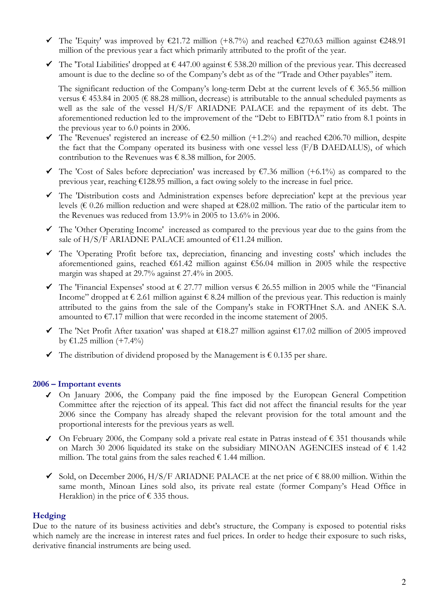- The 'Equity' was improved by  $\epsilon$ 21.72 million (+8.7%) and reached  $\epsilon$ 270.63 million against  $\epsilon$ 248.91 million of the previous year a fact which primarily attributed to the profit of the year.
- The 'Total Liabilities' dropped at  $\epsilon$  447.00 against  $\epsilon$  538.20 million of the previous year. This decreased amount is due to the decline so of the Company's debt as of the "Trade and Other payables" item.

The significant reduction of the Company's long-term Debt at the current levels of  $\epsilon$  365.56 million versus € 453.84 in 2005 (€ 88.28 million, decrease) is attributable to the annual scheduled payments as well as the sale of the vessel H/S/F ARIADNE PALACE and the repayment of its debt. The aforementioned reduction led to the improvement of the "Debt to EBITDA" ratio from 8.1 points in the previous year to 6.0 points in 2006.

- The 'Revenues' registered an increase of  $\epsilon$ 2.50 million (+1.2%) and reached  $\epsilon$ 206.70 million, despite the fact that the Company operated its business with one vessel less (F/B DAEDALUS), of which contribution to the Revenues was  $\epsilon$  8.38 million, for 2005.
- The 'Cost of Sales before depreciation' was increased by  $\epsilon$ 7.36 million (+6.1%) as compared to the previous year, reaching €128.95 million, a fact owing solely to the increase in fuel price.
- The 'Distribution costs and Administration expenses before depreciation' kept at the previous year levels (€ 0.26 million reduction and were shaped at €28.02 million. The ratio of the particular item to the Revenues was reduced from 13.9% in 2005 to 13.6% in 2006.
- $\checkmark$  The 'Other Operating Income' increased as compared to the previous year due to the gains from the sale of H/S/F ARIADNE PALACE amounted of  $£11.24$  million.
- The 'Operating Profit before tax, depreciation, financing and investing costs' which includes the aforementioned gains, reached €61.42 million against €56.04 million in 2005 while the respective margin was shaped at 29.7% against 27.4% in 2005.
- The 'Financial Expenses' stood at  $\epsilon$  27.77 million versus  $\epsilon$  26.55 million in 2005 while the "Financial" Income" dropped at  $\epsilon$  2.61 million against  $\epsilon$  8.24 million of the previous year. This reduction is mainly attributed to the gains from the sale of the Company's stake in FORTHnet S.A. and ANEK S.A. amounted to  $E$ 7.17 million that were recorded in the income statement of 2005.
- The 'Net Profit After taxation' was shaped at  $\epsilon$ 18.27 million against  $\epsilon$ 17.02 million of 2005 improved by €1.25 million  $(+7.4%)$
- The distribution of dividend proposed by the Management is  $\epsilon$  0.135 per share.

#### 2006 – Important events

- ✔ On January 2006, the Company paid the fine imposed by the European General Competition Committee after the rejection of its appeal. This fact did not affect the financial results for the year 2006 since the Company has already shaped the relevant provision for the total amount and the proportional interests for the previous years as well.
- ✔ On February 2006, the Company sold a private real estate in Patras instead of € 351 thousands while on March 30 2006 liquidated its stake on the subsidiary MINOAN AGENCIES instead of  $\epsilon$  1.42 million. The total gains from the sales reached  $\epsilon$  1.44 million.
- Sold, on December 2006, H/S/F ARIADNE PALACE at the net price of  $\epsilon$  88.00 million. Within the same month, Minoan Lines sold also, its private real estate (former Company's Head Office in Heraklion) in the price of  $\epsilon$  335 thous.

#### **Hedging**

Due to the nature of its business activities and debt's structure, the Company is exposed to potential risks which namely are the increase in interest rates and fuel prices. In order to hedge their exposure to such risks, derivative financial instruments are being used.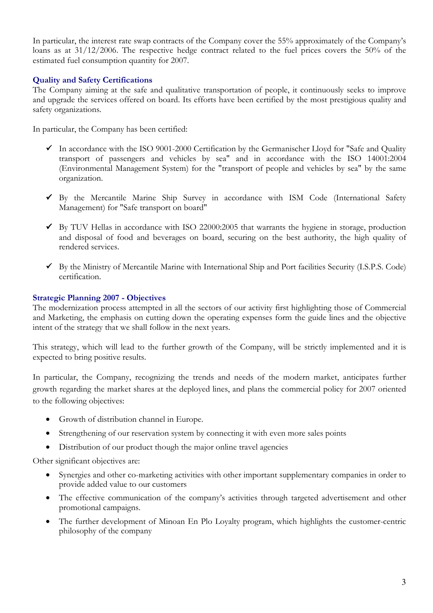In particular, the interest rate swap contracts of the Company cover the 55% approximately of the Company's loans as at 31/12/2006. The respective hedge contract related to the fuel prices covers the 50% of the estimated fuel consumption quantity for 2007.

## Quality and Safety Certifications

The Company aiming at the safe and qualitative transportation of people, it continuously seeks to improve and upgrade the services offered on board. Its efforts have been certified by the most prestigious quality and safety organizations.

In particular, the Company has been certified:

- In accordance with the ISO 9001-2000 Certification by the Germanischer Lloyd for "Safe and Ouality" transport of passengers and vehicles by sea" and in accordance with the ISO 14001:2004 (Environmental Management System) for the "transport of people and vehicles by sea" by the same organization.
- By the Mercantile Marine Ship Survey in accordance with ISM Code (International Safety Management) for "Safe transport on board"
- $\blacktriangleright$  By TUV Hellas in accordance with ISO 22000:2005 that warrants the hygiene in storage, production and disposal of food and beverages on board, securing on the best authority, the high quality of rendered services.
- $\blacktriangleright$  By the Ministry of Mercantile Marine with International Ship and Port facilities Security (I.S.P.S. Code) certification.

## Strategic Planning 2007 - Objectives

The modernization process attempted in all the sectors of our activity first highlighting those of Commercial and Marketing, the emphasis on cutting down the operating expenses form the guide lines and the objective intent of the strategy that we shall follow in the next years.

This strategy, which will lead to the further growth of the Company, will be strictly implemented and it is expected to bring positive results.

In particular, the Company, recognizing the trends and needs of the modern market, anticipates further growth regarding the market shares at the deployed lines, and plans the commercial policy for 2007 oriented to the following objectives:

- Growth of distribution channel in Europe.
- Strengthening of our reservation system by connecting it with even more sales points
- Distribution of our product though the major online travel agencies

Other significant objectives are:

- Synergies and other co-marketing activities with other important supplementary companies in order to provide added value to our customers
- The effective communication of the company's activities through targeted advertisement and other promotional campaigns.
- The further development of Minoan Εn Plo Loyalty program, which highlights the customer-centric philosophy of the company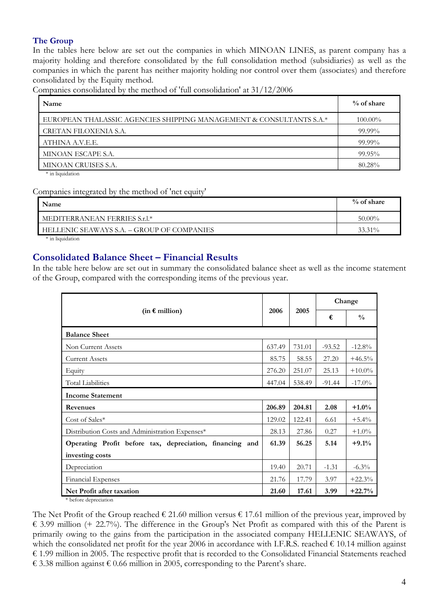## The Group

In the tables here below are set out the companies in which MINOAN LINES, as parent company has a majority holding and therefore consolidated by the full consolidation method (subsidiaries) as well as the companies in which the parent has neither majority holding nor control over them (associates) and therefore consolidated by the Equity method.

Companies consolidated by the method of 'full consolidation' at 31/12/2006

| Name                                                                | $%$ of share |
|---------------------------------------------------------------------|--------------|
| EUROPEAN THALASSIC AGENCIES SHIPPING MANAGEMENT & CONSULTANTS S.A.* | $100.00\%$   |
| CRETAN FILOXENIA S.A.                                               | 99.99%       |
| ATHINA A.V.E.E.                                                     | 99.99%       |
| MINOAN ESCAPE S.A.                                                  | 99.95%       |
| MINOAN CRUISES S.A.                                                 | 80.28%       |

\* in liquidation

#### Companies integrated by the method of 'net equity'

| Name                                       | $\%$ of share |
|--------------------------------------------|---------------|
| MEDITERRANEAN FERRIES S.r.l.*              | $50.00\%$     |
| HELLENIC SEAWAYS S.A. – GROUP OF COMPANIES | 33.31%        |
| * in limidation.                           |               |

in liquidation

## Consolidated Balance Sheet – Financial Results

In the table here below are set out in summary the consolidated balance sheet as well as the income statement of the Group, compared with the corresponding items of the previous year.

|                                                          |        |        | Change   |               |
|----------------------------------------------------------|--------|--------|----------|---------------|
| $(in \mathbf{\varepsilon}$ million)                      | 2006   | 2005   | €        | $\frac{0}{0}$ |
| <b>Balance Sheet</b>                                     |        |        |          |               |
| Non Current Assets                                       | 637.49 | 731.01 | $-93.52$ | $-12.8\%$     |
| <b>Current Assets</b>                                    | 85.75  | 58.55  | 27.20    | $+46.5%$      |
| Equity                                                   | 276.20 | 251.07 | 25.13    | $+10.0\%$     |
| <b>Total Liabilities</b>                                 | 447.04 | 538.49 | $-91.44$ | $-17.0\%$     |
| <b>Income Statement</b>                                  |        |        |          |               |
| <b>Revenues</b>                                          | 206.89 | 204.81 | 2.08     | $+1.0\%$      |
| Cost of Sales*                                           | 129.02 | 122.41 | 6.61     | $+5.4\%$      |
| Distribution Costs and Administration Expenses*          | 28.13  | 27.86  | 0.27     | $+1.0\%$      |
| Operating Profit before tax, depreciation, financing and | 61.39  | 56.25  | 5.14     | $+9.1%$       |
| investing costs                                          |        |        |          |               |
| Depreciation                                             | 19.40  | 20.71  | $-1.31$  | $-6.3\%$      |
| Financial Expenses                                       | 21.76  | 17.79  | 3.97     | $+22.3%$      |
| Net Profit after taxation                                | 21.60  | 17.61  | 3.99     | $+22.7%$      |

\* before depreciation

The Net Profit of the Group reached  $\epsilon$  21.60 million versus  $\epsilon$  17.61 million of the previous year, improved by  $\epsilon$  3.99 million (+ 22.7%). The difference in the Group's Net Profit as compared with this of the Parent is primarily owing to the gains from the participation in the associated company HELLENIC SEAWAYS, of which the consolidated net profit for the year 2006 in accordance with I.F.R.S. reached  $\epsilon$  10.14 million against  $\epsilon$  1.99 million in 2005. The respective profit that is recorded to the Consolidated Financial Statements reached € 3.38 million against  $€ 0.66$  million in 2005, corresponding to the Parent's share.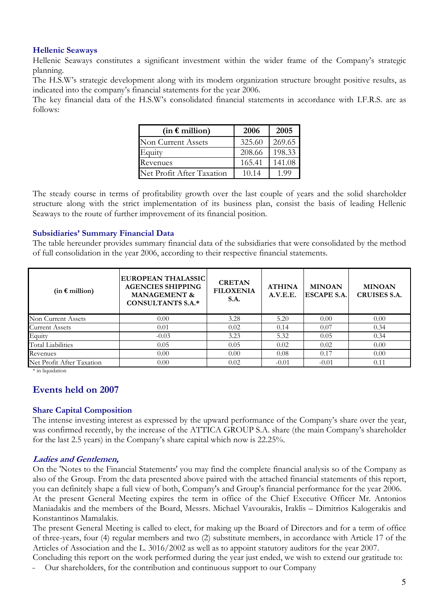#### Hellenic Seaways

Hellenic Seaways constitutes a significant investment within the wider frame of the Company's strategic planning.

The H.S.W's strategic development along with its modern organization structure brought positive results, as indicated into the company's financial statements for the year 2006.

The key financial data of the H.S.W's consolidated financial statements in accordance with I.F.R.S. are as follows:

| $(in \in \{m\})$          | 2006   | 2005   |
|---------------------------|--------|--------|
| Non Current Assets        | 325.60 | 269.65 |
| Equity                    | 208.66 | 198.33 |
| Revenues                  | 165.41 | 141.08 |
| Net Profit After Taxation | 10.14  | 199    |

The steady course in terms of profitability growth over the last couple of years and the solid shareholder structure along with the strict implementation of its business plan, consist the basis of leading Hellenic Seaways to the route of further improvement of its financial position.

#### Subsidiaries' Summary Financial Data

The table hereunder provides summary financial data of the subsidiaries that were consolidated by the method of full consolidation in the year 2006, according to their respective financial statements.

| $(in \mathbf{\varepsilon}$ million) | <b>EUROPEAN THALASSIC</b><br><b>AGENCIES SHIPPING</b><br><b>MANAGEMENT &amp;</b><br><b>CONSULTANTS S.A.*</b> | <b>CRETAN</b><br><b>FILOXENIA</b><br>S.A. | <b>ATHINA</b><br>A.V.E.E. | <b>MINOAN</b><br><b>ESCAPE S.A.</b> | <b>MINOAN</b><br><b>CRUISES S.A.</b> |
|-------------------------------------|--------------------------------------------------------------------------------------------------------------|-------------------------------------------|---------------------------|-------------------------------------|--------------------------------------|
| Non Current Assets                  | 0.00                                                                                                         | 3.28                                      | 5.20                      | 0.00                                | 0.00                                 |
| <b>Current Assets</b>               | 0.01                                                                                                         | 0.02                                      | 0.14                      | 0.07                                | 0.34                                 |
| Equity                              | $-0.03$                                                                                                      | 3.23                                      | 5.32                      | 0.05                                | 0.34                                 |
| <b>Total Liabilities</b>            | 0.05                                                                                                         | 0.05                                      | 0.02                      | 0.02                                | 0.00                                 |
| Revenues                            | 0.00                                                                                                         | 0.00                                      | 0.08                      | 0.17                                | 0.00                                 |
| Net Profit After Taxation           | 0.00                                                                                                         | 0.02                                      | $-0.01$                   | $-0.01$                             | 0.11                                 |

\* in liquidation

## Events held on 2007

#### Share Capital Composition

The intense investing interest as expressed by the upward performance of the Company's share over the year, was confirmed recently, by the increase of the ATTICA GROUP S.A. share (the main Company's shareholder for the last 2.5 years) in the Company's share capital which now is 22.25%.

## Ladies and Gentlemen,

On the 'Notes to the Financial Statements' you may find the complete financial analysis so of the Company as also of the Group. From the data presented above paired with the attached financial statements of this report, you can definitely shape a full view of both, Company's and Group's financial performance for the year 2006. At the present General Meeting expires the term in office of the Chief Executive Officer Mr. Antonios Maniadakis and the members of the Board, Messrs. Michael Vavourakis, Iraklis – Dimitrios Kalogerakis and Konstantinos Mamalakis.

The present General Meeting is called to elect, for making up the Board of Directors and for a term of office of three-years, four (4) regular members and two (2) substitute members, in accordance with Article 17 of the Articles of Association and the L. 3016/2002 as well as to appoint statutory auditors for the year 2007.

Concluding this report on the work performed during the year just ended, we wish to extend our gratitude to:

- Our shareholders, for the contribution and continuous support to our Company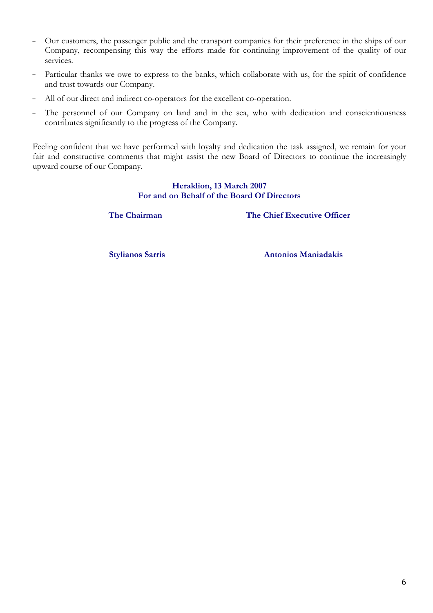- Our customers, the passenger public and the transport companies for their preference in the ships of our Company, recompensing this way the efforts made for continuing improvement of the quality of our services.
- Particular thanks we owe to express to the banks, which collaborate with us, for the spirit of confidence and trust towards our Company.
- All of our direct and indirect co-operators for the excellent co-operation.
- The personnel of our Company on land and in the sea, who with dedication and conscientiousness contributes significantly to the progress of the Company.

Feeling confident that we have performed with loyalty and dedication the task assigned, we remain for your fair and constructive comments that might assist the new Board of Directors to continue the increasingly upward course of our Company.

#### Heraklion, 13 March 2007 For and on Behalf of the Board Of Directors

The Chairman The Chief Executive Officer

Stylianos Sarris Antonios Maniadakis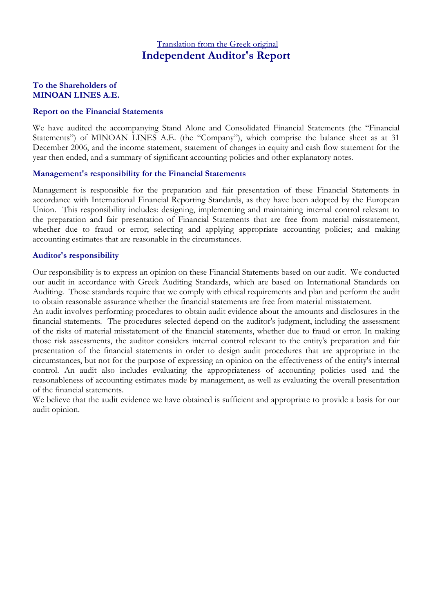## Translation from the Greek original Independent Auditor's Report

#### To the Shareholders of MINOAN LINES A.E.

#### Report on the Financial Statements

We have audited the accompanying Stand Alone and Consolidated Financial Statements (the "Financial Statements") of MINOAN LINES A.E. (the "Company"), which comprise the balance sheet as at 31 December 2006, and the income statement, statement of changes in equity and cash flow statement for the year then ended, and a summary of significant accounting policies and other explanatory notes.

#### Management's responsibility for the Financial Statements

Management is responsible for the preparation and fair presentation of these Financial Statements in accordance with International Financial Reporting Standards, as they have been adopted by the European Union. This responsibility includes: designing, implementing and maintaining internal control relevant to the preparation and fair presentation of Financial Statements that are free from material misstatement, whether due to fraud or error; selecting and applying appropriate accounting policies; and making accounting estimates that are reasonable in the circumstances.

#### Auditor's responsibility

Our responsibility is to express an opinion on these Financial Statements based on our audit. We conducted our audit in accordance with Greek Auditing Standards, which are based on International Standards on Auditing. Those standards require that we comply with ethical requirements and plan and perform the audit to obtain reasonable assurance whether the financial statements are free from material misstatement.

An audit involves performing procedures to obtain audit evidence about the amounts and disclosures in the financial statements. The procedures selected depend on the auditor's judgment, including the assessment of the risks of material misstatement of the financial statements, whether due to fraud or error. In making those risk assessments, the auditor considers internal control relevant to the entity's preparation and fair presentation of the financial statements in order to design audit procedures that are appropriate in the circumstances, but not for the purpose of expressing an opinion on the effectiveness of the entity's internal control. An audit also includes evaluating the appropriateness of accounting policies used and the reasonableness of accounting estimates made by management, as well as evaluating the overall presentation of the financial statements.

We believe that the audit evidence we have obtained is sufficient and appropriate to provide a basis for our audit opinion.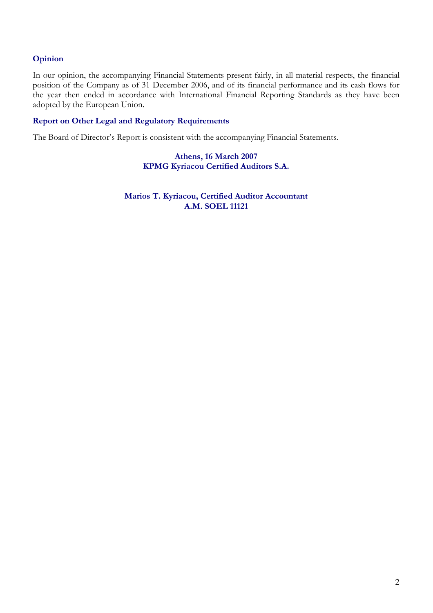## Opinion

In our opinion, the accompanying Financial Statements present fairly, in all material respects, the financial position of the Company as of 31 December 2006, and of its financial performance and its cash flows for the year then ended in accordance with International Financial Reporting Standards as they have been adopted by the European Union.

#### Report on Other Legal and Regulatory Requirements

The Board of Director's Report is consistent with the accompanying Financial Statements.

Athens, 16 March 2007 KPMG Kyriacou Certified Auditors S.A.

Marios T. Kyriacou, Certified Auditor Accountant A.M. SOEL 11121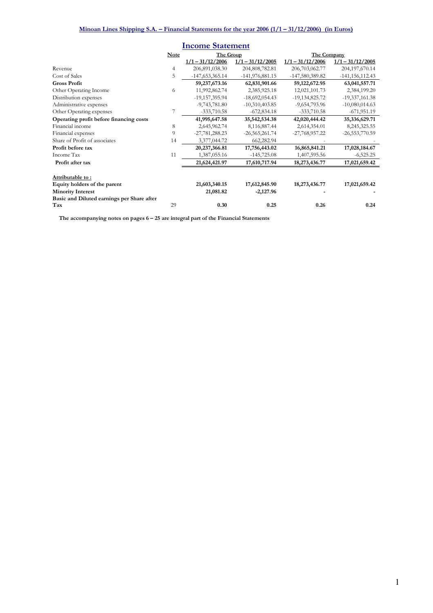| <b>Income Statement</b>                    |             |                    |                    |                    |                     |  |  |  |
|--------------------------------------------|-------------|--------------------|--------------------|--------------------|---------------------|--|--|--|
|                                            | <b>Note</b> | The Group          |                    | The Company        |                     |  |  |  |
|                                            |             | $1/1 - 31/12/2006$ | $1/1 - 31/12/2005$ | $1/1 - 31/12/2006$ | $1/1 - 31/12/2005$  |  |  |  |
| Revenue                                    | 4           | 206,891,038.30     | 204,808,782.81     | 206,703,062.77     | 204, 197, 670. 14   |  |  |  |
| Cost of Sales                              | 5           | $-147,653,365.14$  | $-141,976,881.15$  | -147,580,389.82    | $-141, 156, 112.43$ |  |  |  |
| <b>Gross Profit</b>                        |             | 59,237,673.16      | 62,831,901.66      | 59,122,672.95      | 63,041,557.71       |  |  |  |
| Other Operating Income                     | 6           | 11,992,862.74      | 2,385,925.18       | 12,021,101.73      | 2,384,199.20        |  |  |  |
| Distribution expenses                      |             | $-19,157,395.94$   | $-18,692,054.43$   | $-19,134,825.72$   | $-19,337,161.38$    |  |  |  |
| Administrative expenses                    |             | $-9,743,781.80$    | $-10,310,403.85$   | $-9,654,793.96$    | $-10,080,014.63$    |  |  |  |
| Other Operating expenses                   |             | $-333,710.58$      | $-672,834.18$      | $-333,710.58$      | $-671,951.19$       |  |  |  |
| Operating profit before financing costs    |             | 41,995,647.58      | 35,542,534.38      | 42,020,444.42      | 35,336,629.71       |  |  |  |
| Financial income                           | 8           | 2,645,962.74       | 8,116,887.44       | 2,614,354.01       | 8,245,325.55        |  |  |  |
| Financial expenses                         | 9           | $-27,781,288.23$   | $-26,565,261.74$   | $-27,768,957.22$   | $-26,553,770.59$    |  |  |  |
| Share of Profit of associates              | 14          | 3,377,044.72       | 662,282.94         |                    |                     |  |  |  |
| Profit before tax                          |             | 20,237,366.81      | 17,756,443.02      | 16,865,841.21      | 17,028,184.67       |  |  |  |
| Income Tax                                 | 11          | 1,387,055.16       | $-145,725.08$      | 1,407,595.56       | $-6,525.25$         |  |  |  |
| Profit after tax                           |             | 21,624,421.97      | 17,610,717.94      | 18,273,436.77      | 17,021,659.42       |  |  |  |
| Attributable to:                           |             |                    |                    |                    |                     |  |  |  |
| Equity holders of the parent               |             | 21,603,340.15      | 17,612,845.90      | 18,273,436.77      | 17,021,659.42       |  |  |  |
| <b>Minority Interest</b>                   |             | 21,081.82          | $-2,127.96$        |                    |                     |  |  |  |
| Basic and Diluted earnings per Share after |             |                    |                    |                    |                     |  |  |  |
| Tax                                        | 29          | 0.30               | 0.25               | 0.26               | 0.24                |  |  |  |

The accompanying notes on pages 6 – 25 are integral part of the Financial Statements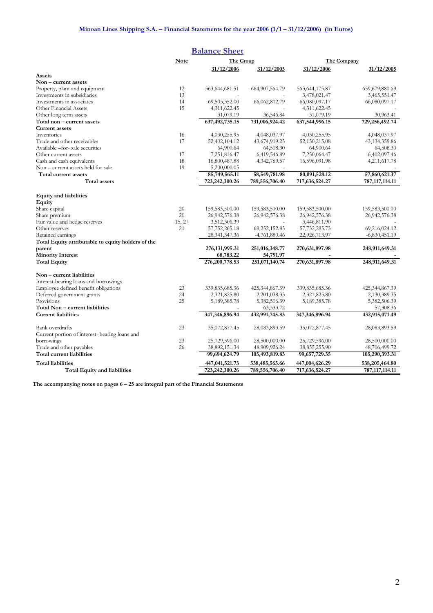| <b>Balance Sheet</b>                               |             |                  |                   |                    |                   |  |  |  |
|----------------------------------------------------|-------------|------------------|-------------------|--------------------|-------------------|--|--|--|
|                                                    | <b>Note</b> | <b>The Group</b> |                   | <b>The Company</b> |                   |  |  |  |
|                                                    |             | 31/12/2006       | 31/12/2005        | 31/12/2006         | 31/12/2005        |  |  |  |
| <b>Assets</b>                                      |             |                  |                   |                    |                   |  |  |  |
| Non – current assets                               |             |                  |                   |                    |                   |  |  |  |
| Property, plant and equipment                      | 12          | 563,644,681.51   | 664, 907, 564. 79 | 563, 644, 175.87   | 659,679,880.69    |  |  |  |
| Investments in subsidiaries                        | 13          |                  |                   | 3,478,021.47       | 3,465,551.47      |  |  |  |
| Investments in associates                          | 14          | 69,505,352.00    | 66,062,812.79     | 66,080,097.17      | 66,080,097.17     |  |  |  |
| Other Financial Assets                             | 15          | 4,311,622.45     |                   | 4,311,622.45       |                   |  |  |  |
| Other long term assets                             |             | 31,079.19        | 36,546.84         | 31,079.19          | 30,963.41         |  |  |  |
| Total non - current assets                         |             | 637,492,735.15   | 731,006,924.42    | 637,544,996.15     | 729,256,492.74    |  |  |  |
| <b>Current</b> assets                              |             |                  |                   |                    |                   |  |  |  |
| Inventories                                        | 16          | 4,030,255.95     | 4,048,037.97      | 4,030,255.95       | 4,048,037.97      |  |  |  |
| Trade and other receivables                        | 17          | 52,402,104.12    | 43,674,919.25     | 52,150,215.08      | 43, 134, 359.86   |  |  |  |
| Available -for- sale securities                    |             | 64,900.64        | 64,508.30         | 64,900.64          | 64,508.30         |  |  |  |
| Other current assets                               | 17          | 7,251,816.47     | 6,419,546.89      | 7,250,064.47       | 6,402,097.46      |  |  |  |
| Cash and cash equivalents                          | 18          | 16,800,487.88    | 4,342,769.57      | 16,596,091.98      | 4,211,617.78      |  |  |  |
| Non - current assets held for sale                 | 19          | 5,200,000.05     |                   |                    |                   |  |  |  |
| Total current assets                               |             | 85,749,565.11    | 58,549,781.98     | 80,091,528.12      | 57,860,621.37     |  |  |  |
| <b>Total assets</b>                                |             | 723,242,300.26   | 789,556,706.40    | 717,636,524.27     | 787, 117, 114. 11 |  |  |  |
|                                                    |             |                  |                   |                    |                   |  |  |  |
| <b>Equity and liabilities</b>                      |             |                  |                   |                    |                   |  |  |  |
| <b>Equity</b>                                      |             |                  |                   |                    |                   |  |  |  |
| Share capital                                      | 20          | 159,583,500.00   | 159,583,500.00    | 159,583,500.00     | 159,583,500.00    |  |  |  |
| Share premium                                      | 20          | 26,942,576.38    | 26, 942, 576. 38  | 26,942,576.38      | 26,942,576.38     |  |  |  |
| Fair value and hedge reserves                      | 15, 27      | 3,512,306.39     |                   | 3,446,811.90       |                   |  |  |  |
| Other reserves                                     | 21          | 57,752,265.18    | 69,252,152.85     | 57,732,295.73      | 69,216,024.12     |  |  |  |
| Retained earnings                                  |             | 28, 341, 347. 36 | $-4,761,880.46$   | 22,926,713.97      | $-6,830,451.19$   |  |  |  |
| Total Equity attributable to equity holders of the |             |                  |                   |                    |                   |  |  |  |
| parent                                             |             | 276,131,995.31   | 251,016,348.77    | 270,631,897.98     | 248,911,649.31    |  |  |  |
| <b>Minority Interest</b>                           |             | 68,783.22        | 54,791.97         |                    |                   |  |  |  |
| <b>Total Equity</b>                                |             | 276,200,778.53   | 251,071,140.74    | 270,631,897.98     | 248,911,649.31    |  |  |  |
| Non - current liabilities                          |             |                  |                   |                    |                   |  |  |  |
| Interest-bearing loans and borrowings              |             |                  |                   |                    |                   |  |  |  |
| Employee defined benefit obligations               | 23          | 339,835,685.36   | 425, 344, 867. 39 | 339,835,685.36     | 425,344,867.39    |  |  |  |
| Deferred government grants                         | 24          | 2,321,825.80     | 2,201,038.33      | 2,321,825.80       | 2,130,389.35      |  |  |  |
| Provisions                                         | 25          | 5, 189, 385. 78  | 5,382,506.39      | 5, 189, 385. 78    | 5,382,506.39      |  |  |  |
| Total Non - current liabilities                    |             |                  | 63,333.72         |                    | 57,308.36         |  |  |  |
| <b>Current liabilities</b>                         |             | 347,346,896.94   | 432,991,745.83    | 347,346,896.94     | 432,915,071.49    |  |  |  |
| <b>Bank</b> overdrafts                             | 23          | 35,072,877.45    | 28,083,893.59     | 35,072,877.45      | 28,083,893.59     |  |  |  |
| Current portion of interest -bearing loans and     |             |                  |                   |                    |                   |  |  |  |
| borrowings                                         | 23          | 25,729,596.00    | 28,500,000.00     | 25,729,596.00      | 28,500,000.00     |  |  |  |
| Trade and other payables                           | 26          | 38,892,151.34    | 48,909,926.24     | 38,855,255.90      | 48,706,499.72     |  |  |  |
| <b>Total current liabilities</b>                   |             | 99,694,624.79    | 105,493,819.83    | 99,657,729.35      | 105,290,393.31    |  |  |  |
| <b>Total liabilities</b>                           |             | 447,041,521.73   | 538,485,565.66    | 447,004,626.29     | 538,205,464.80    |  |  |  |
| <b>Total Equity and liabilities</b>                |             | 723,242,300.26   | 789,556,706.40    | 717,636,524.27     | 787,117,114.11    |  |  |  |

The accompanying notes on pages 6 – 25 are integral part of the Financial Statements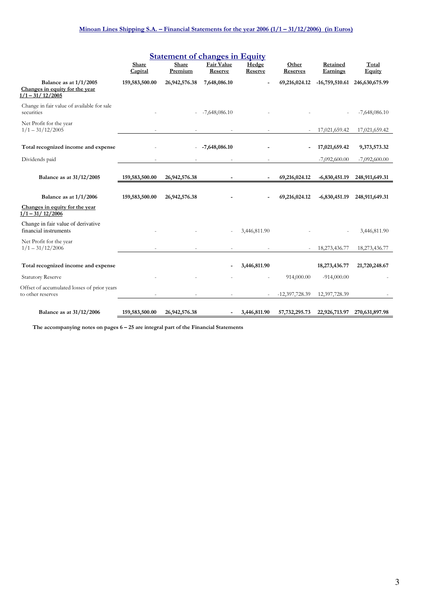|                                                                                  |                  | <b>Statement of changes in Equity</b> |                       |                  |                          |                             |                 |
|----------------------------------------------------------------------------------|------------------|---------------------------------------|-----------------------|------------------|--------------------------|-----------------------------|-----------------|
|                                                                                  | Share<br>Capital | Share<br>Premium                      | Fair Value<br>Reserve | Hedge<br>Reserve | Other<br><b>Reserves</b> | Retained<br><b>Earnings</b> | Total<br>Equity |
| Balance as at $1/1/2005$<br>Changes in equity for the year<br>$1/1 - 31/12/2005$ | 159,583,500.00   | 26,942,576.38                         | 7,648,086.10          |                  | 69,216,024.12            | $-16,759,510.61$            | 246,630,675.99  |
| Change in fair value of available for sale<br>securities                         |                  |                                       | $-7,648,086.10$       |                  |                          |                             | $-7,648,086.10$ |
| Net Profit for the year<br>$1/1 - 31/12/2005$                                    |                  |                                       |                       |                  |                          | 17,021,659.42               | 17,021,659.42   |
| Total recognized income and expense                                              |                  |                                       | $-7,648,086.10$       |                  |                          | 17,021,659.42               | 9,373,573.32    |
| Dividends paid                                                                   |                  |                                       |                       |                  |                          | $-7,092,600.00$             | $-7,092,600.00$ |
| Balance as at 31/12/2005                                                         | 159,583,500.00   | 26,942,576.38                         |                       |                  | 69,216,024.12            | $-6,830,451.19$             | 248,911,649.31  |
| Balance as at $1/1/2006$                                                         | 159,583,500.00   | 26,942,576.38                         |                       |                  | 69,216,024.12            | $-6,830,451.19$             | 248,911,649.31  |
| Changes in equity for the year<br>$1/1 - 31/12/2006$                             |                  |                                       |                       |                  |                          |                             |                 |
| Change in fair value of derivative<br>financial instruments                      |                  |                                       |                       | 3,446,811.90     |                          |                             | 3,446,811.90    |
| Net Profit for the year<br>$1/1 - 31/12/2006$                                    |                  |                                       |                       |                  |                          | 18,273,436.77               | 18,273,436.77   |
| Total recognized income and expense                                              |                  |                                       |                       | 3,446,811.90     |                          | 18,273,436.77               | 21,720,248.67   |
| <b>Statutory Reserve</b>                                                         |                  |                                       |                       |                  | 914,000.00               | $-914,000.00$               |                 |
| Offset of accumulated losses of prior years<br>to other reserves                 |                  |                                       |                       |                  | -12,397,728.39           | 12,397,728.39               |                 |
| Balance as at 31/12/2006                                                         | 159,583,500.00   | 26,942,576.38                         |                       | 3,446,811.90     | 57,732,295.73            | 22,926,713.97               | 270,631,897.98  |

The accompanying notes on pages  $6 - 25$  are integral part of the Financial Statements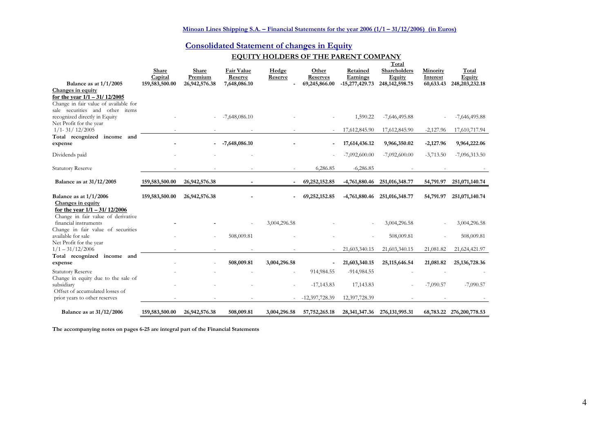#### Consolidated Statement of changes in Equity

#### EQUITY HOLDERS OF THE PARENT COMPANY

| Balance as at $1/1/2005$                                                                                    | Share<br>Capital<br>159,583,500.00 | Share<br>Premium<br>26,942,576.38 | <b>Fair Value</b><br>Reserve<br>7,648,086.10 | Hedge<br>Reserve<br>Ĭ.   | Other<br><b>Reserves</b><br>69,245,866.00 | Retained<br><b>Earnings</b><br>$-15,277,429.73$ | Total<br><b>Shareholders</b><br>Equity<br>248, 142, 598. 75 | Minority<br>Interest<br>60,633.43 | Total<br>Equity<br>248, 203, 232. 18 |
|-------------------------------------------------------------------------------------------------------------|------------------------------------|-----------------------------------|----------------------------------------------|--------------------------|-------------------------------------------|-------------------------------------------------|-------------------------------------------------------------|-----------------------------------|--------------------------------------|
| Changes in equity                                                                                           |                                    |                                   |                                              |                          |                                           |                                                 |                                                             |                                   |                                      |
| for the year $1/1 - 31/12/2005$<br>Change in fair value of available for<br>sale securities and other items |                                    |                                   |                                              |                          |                                           |                                                 |                                                             |                                   |                                      |
| recognized directly in Equity<br>Net Profit for the year                                                    |                                    |                                   | $-7,648,086.10$                              |                          |                                           | 1,590.22                                        | $-7,646,495.88$                                             |                                   | $-7,646,495.88$                      |
| $1/1 - 31/12/2005$                                                                                          |                                    |                                   |                                              |                          |                                           | 17,612,845.90                                   | 17,612,845.90                                               | $-2,127.96$                       | 17,610,717.94                        |
| Total recognized<br>income and<br>expense                                                                   |                                    |                                   | $-7,648,086.10$                              |                          |                                           | 17,614,436.12                                   | 9,966,350.02                                                | $-2,127.96$                       | 9,964,222.06                         |
| Dividends paid                                                                                              |                                    |                                   |                                              |                          |                                           | $-7,092,600.00$                                 | $-7,092,600.00$                                             | $-3,713.50$                       | $-7,096,313.50$                      |
| <b>Statutory Reserve</b>                                                                                    |                                    |                                   | $\sim$                                       | $\overline{\phantom{a}}$ | 6,286.85                                  | $-6,286.85$                                     |                                                             |                                   |                                      |
| Balance as at 31/12/2005                                                                                    | 159,583,500.00                     | 26,942,576.38                     |                                              | $\overline{a}$           | 69,252,152.85                             | -4,761,880.46                                   | 251,016,348.77                                              | 54,791.97                         | 251,071,140.74                       |
| Balance as at $1/1/2006$<br>Changes in equity<br>for the year $1/1 - 31/12/2006$                            | 159,583,500.00                     | 26,942,576.38                     |                                              | Ē,                       | 69,252,152.85                             | -4,761,880.46                                   | 251,016,348.77                                              | 54,791.97                         | 251,071,140.74                       |
| Change in fair value of derivative<br>financial instruments<br>Change in fair value of securities           |                                    |                                   |                                              | 3,004,296.58             |                                           |                                                 | 3,004,296.58                                                |                                   | 3,004,296.58                         |
| available for sale<br>Net Profit for the year                                                               |                                    |                                   | 508,009.81                                   |                          |                                           |                                                 | 508,009.81                                                  |                                   | 508,009.81                           |
| $1/1 - 31/12/2006$                                                                                          |                                    |                                   |                                              |                          |                                           | 21,603,340.15                                   | 21,603,340.15                                               | 21,081.82                         | 21,624,421.97                        |
| Total recognized income and<br>expense                                                                      |                                    |                                   | 508,009.81                                   | 3,004,296.58             |                                           | 21,603,340.15                                   | 25, 115, 646.54                                             | 21,081.82                         | 25, 136, 728.36                      |
| <b>Statutory Reserve</b><br>Change in equity due to the sale of                                             |                                    |                                   |                                              |                          | 914,984.55                                | $-914,984.55$                                   |                                                             |                                   |                                      |
| subsidiary<br>Offset of accumulated losses of                                                               |                                    |                                   |                                              |                          | $-17,143.83$                              | 17,143.83                                       |                                                             | $-7,090.57$                       | $-7,090.57$                          |
| prior years to other reserves                                                                               |                                    |                                   |                                              | $\bar{a}$                | -12,397,728.39                            | 12,397,728.39                                   |                                                             |                                   |                                      |
| Balance as at 31/12/2006                                                                                    |                                    |                                   |                                              |                          |                                           |                                                 |                                                             |                                   |                                      |

The accompanying notes on pages 6-25 are integral part of the Financial Statements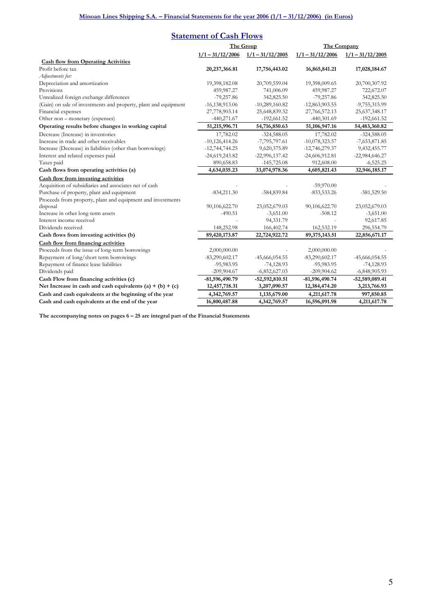#### Statement of Cash Flows

|                                                                 | The Group          |                    | The Company        |                    |
|-----------------------------------------------------------------|--------------------|--------------------|--------------------|--------------------|
|                                                                 | $1/1 - 31/12/2006$ | $1/1 - 31/12/2005$ | $1/1 - 31/12/2006$ | $1/1 - 31/12/2005$ |
| <b>Cash flow from Operating Activities</b>                      |                    |                    |                    |                    |
| Profit before tax                                               | 20,237,366.81      | 17,756,443.02      | 16,865,841.21      | 17,028,184.67      |
| Adjustments for:                                                |                    |                    |                    |                    |
| Depreciation and amortization                                   | 19,398,182.08      | 20,709,559.04      | 19,398,009.65      | 20,700,307.92      |
| Provisions                                                      | 459,987.27         | 741,006.09         | 459,987.27         | 722,672.07         |
| Unrealized foreign exchange differences                         | $-79,257.86$       | 342,825.50         | $-79,257.86$       | 342,825.50         |
| (Gain) on sale of investments and property, plant and equipment | $-16, 138, 913.06$ | $-10,289,160.82$   | $-12,863,903.55$   | $-9,755,315.99$    |
| Financial expenses                                              | 27,778,903.14      | 25,648,839.32      | 27,766,572.13      | 25, 637, 348. 17   |
| Other non - monetary (expenses)                                 | $-440,271.67$      | $-192,661.52$      | $-440,301.69$      | $-192,661.52$      |
| Operating results before changes in working capital             | 51,215,996.71      | 54,716,850.63      | 51,106,947.16      | 54,483,360.82      |
| Decrease (Increase) in inventories                              | 17,782.02          | $-324,588.05$      | 17,782.02          | $-324,588.05$      |
| Increase in trade and other receivables                         | $-10,126,414.26$   | $-7,795,797.61$    | $-10,078,323.57$   | $-7,653,871.85$    |
| Increase (Decrease) in liabilities (other than borrowings)      | $-12,744,744.25$   | 9,620,375.89       | $-12,746,279.37$   | 9,432,455.77       |
| Interest and related expenses paid                              | $-24,619,243.82$   | $-22,996,137.42$   | $-24,606,912.81$   | $-22,984,646.27$   |
| Taxes paid                                                      | 890,658.83         | $-145,725.08$      | 912,608.00         | $-6,525.25$        |
| Cash flows from operating activities (a)                        | 4,634,035.23       | 33,074,978.36      | 4,605,821.43       | 32,946,185.17      |
| Cash flow from investing activities                             |                    |                    |                    |                    |
| Acquisition of subsidiaries and associates net of cash          |                    |                    | $-59,970.00$       |                    |
| Purchase of property, plant and equipment                       | $-834,211.30$      | -584,839.84        | $-833,533.26$      | $-581,529.50$      |
| Proceeds from property, plant and equipment and investments     |                    |                    |                    |                    |
| disposal                                                        | 90,106,622.70      | 23,052,679.03      | 90,106,622.70      | 23,052,679.03      |
| Increase in other long-term assets                              | $-490.51$          | $-3,651.00$        | $-508.12$          | $-3,651.00$        |
| Interest income received                                        |                    | 94,331.79          |                    | 92,617.85          |
| Dividends received                                              | 148,252.98         | 166,402.74         | 162,532.19         | 296,554.79         |
| Cash flows from investing activities (b)                        | 89,420,173.87      | 22,724,922.72      | 89,375,143.51      | 22,856,671.17      |
| Cash flow from financing activities                             |                    |                    |                    |                    |
| Proceeds from the issue of long-term borrowings                 | 2,000,000.00       |                    | 2,000,000.00       |                    |
| Repayment of long/short term borrowings                         | $-83,290,602.17$   | $-45,666,054.55$   | $-83,290,602.17$   | $-45,666,054.55$   |
| Repayment of finance lease liabilities                          | $-95,983.95$       | $-74,128.93$       | $-95,983.95$       | $-74,128.93$       |
| Dividends paid                                                  | $-209,904.67$      | $-6,852,627.03$    | $-209,904.62$      | $-6,848,905.93$    |
| Cash Flow from financing activities (c)                         | -81,596,490.79     | -52,592,810.51     | $-81,596,490.74$   | -52,589,089.41     |
| Net Increase in cash and cash equivalents (a) + (b) + (c)       | 12,457,718.31      | 3,207,090.57       | 12,384,474.20      | 3,213,766.93       |
| Cash and cash equivalents at the beginning of the year          | 4,342,769.57       | 1,135,679.00       | 4,211,617.78       | 997,850.85         |
| Cash and cash equivalents at the end of the year                | 16,800,487.88      | 4,342,769.57       | 16,596,091.98      | 4,211,617.78       |

The accompanying notes on pages 6 – 25 are integral part of the Financial Statements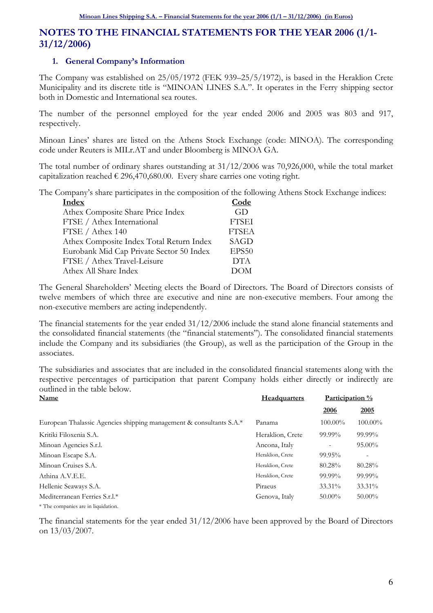## NOTES TO THE FINANCIAL STATEMENTS FOR THE YEAR 2006 (1/1- 31/12/2006)

## 1. General Company's Information

The Company was established on 25/05/1972 (FEK 939–25/5/1972), is based in the Heraklion Crete Municipality and its discrete title is "MINOAN LINES S.A.". It operates in the Ferry shipping sector both in Domestic and International sea routes.

The number of the personnel employed for the year ended 2006 and 2005 was 803 and 917, respectively.

Minoan Lines' shares are listed on the Athens Stock Exchange (code: MINOA). The corresponding code under Reuters is MILr.AT and under Bloomberg is MINOA GA.

The total number of ordinary shares outstanding at 31/12/2006 was 70,926,000, while the total market capitalization reached  $\epsilon$  296,470,680.00. Every share carries one voting right.

The Company's share participates in the composition of the following Athens Stock Exchange indices:

| <b>Index</b>                             | Code         |
|------------------------------------------|--------------|
| Athex Composite Share Price Index        | GD           |
| FTSE / Athex International               | <b>FTSEI</b> |
| FTSE / Athex 140                         | <b>FTSEA</b> |
| Athex Composite Index Total Return Index | SAGD         |
| Eurobank Mid Cap Private Sector 50 Index | EPS50        |
| FTSE / Athex Travel-Leisure              | <b>DTA</b>   |
| Athex All Share Index                    | <b>DOM</b>   |
|                                          |              |

The General Shareholders' Meeting elects the Board of Directors. The Board of Directors consists of twelve members of which three are executive and nine are non-executive members. Four among the non-executive members are acting independently.

The financial statements for the year ended 31/12/2006 include the stand alone financial statements and the consolidated financial statements (the "financial statements"). The consolidated financial statements include the Company and its subsidiaries (the Group), as well as the participation of the Group in the associates.

The subsidiaries and associates that are included in the consolidated financial statements along with the respective percentages of participation that parent Company holds either directly or indirectly are outlined in the table below.

| <b>Name</b>                                                         | Headquarters     | Participation % |            |
|---------------------------------------------------------------------|------------------|-----------------|------------|
|                                                                     |                  | 2006            | 2005       |
| European Thalassic Agencies shipping management & consultants S.A.* | Panama           | $100.00\%$      | $100.00\%$ |
| Kritiki Filoxenia S.A.                                              | Heraklion, Crete | $99.99\%$       | 99.99%     |
| Minoan Agencies S.r.l.                                              | Ancona, Italy    |                 | $95.00\%$  |
| Minoan Escape S.A.                                                  | Heraklion, Crete | $99.95\%$       |            |
| Minoan Cruises S.A.                                                 | Heraklion, Crete | 80.28%          | 80.28%     |
| Athina A.V.E.E.                                                     | Heraklion, Crete | 99.99%          | 99.99%     |
| Hellenic Seaways S.A.                                               | Piraeus          | 33.31%          | 33.31%     |
| Mediterranean Ferries S.r.l.*                                       | Genova, Italy    | $50.00\%$       | $50.00\%$  |
| * The companies are in liquidation.                                 |                  |                 |            |

The financial statements for the year ended 31/12/2006 have been approved by the Board of Directors on 13/03/2007.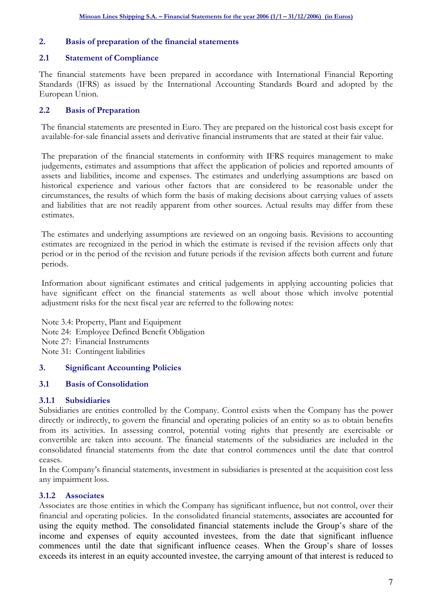#### 2. Basis of preparation of the financial statements

#### 2.1 Statement of Compliance

The financial statements have been prepared in accordance with International Financial Reporting Standards (IFRS) as issued by the International Accounting Standards Board and adopted by the European Union.

#### 2.2 Basis of Preparation

The financial statements are presented in Euro. They are prepared on the historical cost basis except for available-for-sale financial assets and derivative financial instruments that are stated at their fair value.

The preparation of the financial statements in conformity with IFRS requires management to make judgements, estimates and assumptions that affect the application of policies and reported amounts of assets and liabilities, income and expenses. The estimates and underlying assumptions are based on historical experience and various other factors that are considered to be reasonable under the circumstances, the results of which form the basis of making decisions about carrying values of assets and liabilities that are not readily apparent from other sources. Actual results may differ from these estimates.

The estimates and underlying assumptions are reviewed on an ongoing basis. Revisions to accounting estimates are recognized in the period in which the estimate is revised if the revision affects only that period or in the period of the revision and future periods if the revision affects both current and future periods.

Information about significant estimates and critical judgements in applying accounting policies that have significant effect on the financial statements as well about those which involve potential adjustment risks for the next fiscal year are referred to the following notes:

- Note 3.4: Property, Plant and Equipment
- Note 24: Employee Defined Benefit Obligation
- Note 27: Financial Instruments
- Note 31: Contingent liabilities

## 3. Significant Accounting Policies

#### 3.1 Basis of Consolidation

#### 3.1.1 Subsidiaries

Subsidiaries are entities controlled by the Company. Control exists when the Company has the power directly or indirectly, to govern the financial and operating policies of an entity so as to obtain benefits from its activities. In assessing control, potential voting rights that presently are exercisable or convertible are taken into account. The financial statements of the subsidiaries are included in the consolidated financial statements from the date that control commences until the date that control ceases.

In the Company's financial statements, investment in subsidiaries is presented at the acquisition cost less any impairment loss.

#### 3.1.2 Associates

Associates are those entities in which the Company has significant influence, but not control, over their financial and operating policies. In the consolidated financial statements, associates are accounted for using the equity method. The consolidated financial statements include the Group's share of the income and expenses of equity accounted investees, from the date that significant influence commences until the date that significant influence ceases. When the Group's share of losses exceeds its interest in an equity accounted investee, the carrying amount of that interest is reduced to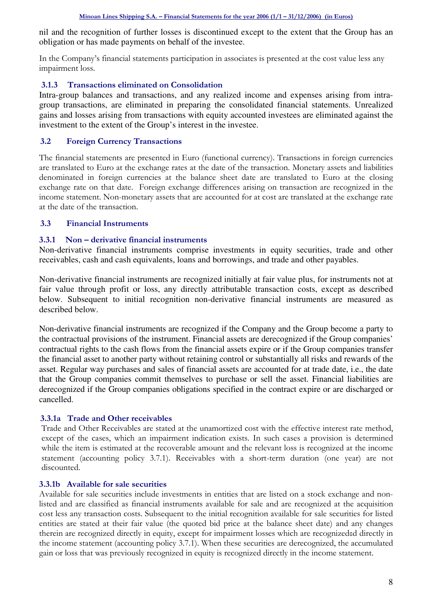nil and the recognition of further losses is discontinued except to the extent that the Group has an obligation or has made payments on behalf of the investee.

In the Company's financial statements participation in associates is presented at the cost value less any impairment loss.

#### 3.1.3 Transactions eliminated on Consolidation

Intra-group balances and transactions, and any realized income and expenses arising from intragroup transactions, are eliminated in preparing the consolidated financial statements. Unrealized gains and losses arising from transactions with equity accounted investees are eliminated against the investment to the extent of the Group's interest in the investee.

#### 3.2 Foreign Currency Transactions

The financial statements are presented in Euro (functional currency). Transactions in foreign currencies are translated to Euro at the exchange rates at the date of the transaction. Monetary assets and liabilities denominated in foreign currencies at the balance sheet date are translated to Euro at the closing exchange rate on that date. Foreign exchange differences arising on transaction are recognized in the income statement. Non-monetary assets that are accounted for at cost are translated at the exchange rate at the date of the transaction.

#### 3.3 Financial Instruments

#### 3.3.1 Non – derivative financial instruments

Non-derivative financial instruments comprise investments in equity securities, trade and other receivables, cash and cash equivalents, loans and borrowings, and trade and other payables.

Non-derivative financial instruments are recognized initially at fair value plus, for instruments not at fair value through profit or loss, any directly attributable transaction costs, except as described below. Subsequent to initial recognition non-derivative financial instruments are measured as described below.

Non-derivative financial instruments are recognized if the Company and the Group become a party to the contractual provisions of the instrument. Financial assets are derecognized if the Group companies' contractual rights to the cash flows from the financial assets expire or if the Group companies transfer the financial asset to another party without retaining control or substantially all risks and rewards of the asset. Regular way purchases and sales of financial assets are accounted for at trade date, i.e., the date that the Group companies commit themselves to purchase or sell the asset. Financial liabilities are derecognized if the Group companies obligations specified in the contract expire or are discharged or cancelled.

#### 3.3.1a Trade and Other receivables

Trade and Other Receivables are stated at the unamortized cost with the effective interest rate method, except of the cases, which an impairment indication exists. In such cases a provision is determined while the item is estimated at the recoverable amount and the relevant loss is recognized at the income statement (accounting policy 3.7.1). Receivables with a short-term duration (one year) are not discounted.

#### 3.3.1b Available for sale securities

Available for sale securities include investments in entities that are listed on a stock exchange and nonlisted and are classified as financial instruments available for sale and are recognized at the acquisition cost less any transaction costs. Subsequent to the initial recognition available for sale securities for listed entities are stated at their fair value (the quoted bid price at the balance sheet date) and any changes therein are recognized directly in equity, except for impairment losses which are recognizedεd directly in the income statement (accounting policy 3.7.1). When these securities are derecognized, the accumulated gain or loss that was previously recognized in equity is recognized directly in the income statement.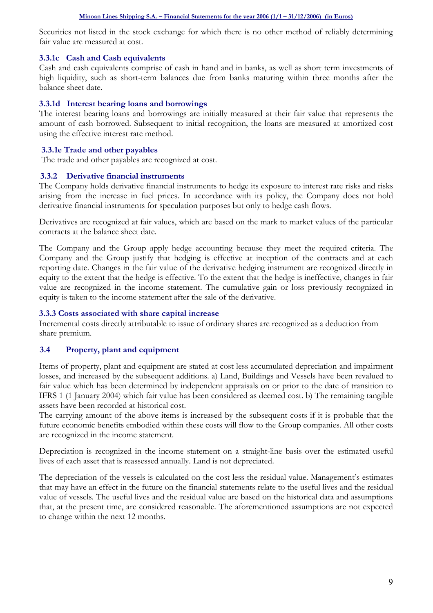Securities not listed in the stock exchange for which there is no other method of reliably determining fair value are measured at cost.

#### 3.3.1c Cash and Cash equivalents

Cash and cash equivalents comprise of cash in hand and in banks, as well as short term investments of high liquidity, such as short-term balances due from banks maturing within three months after the balance sheet date.

#### 3.3.1d Interest bearing loans and borrowings

The interest bearing loans and borrowings are initially measured at their fair value that represents the amount of cash borrowed. Subsequent to initial recognition, the loans are measured at amortized cost using the effective interest rate method.

#### 3.3.1e Trade and other payables

The trade and other payables are recognized at cost.

#### 3.3.2 Derivative financial instruments

The Company holds derivative financial instruments to hedge its exposure to interest rate risks and risks arising from the increase in fuel prices. In accordance with its policy, the Company does not hold derivative financial instruments for speculation purposes but only to hedge cash flows.

Derivatives are recognized at fair values, which are based on the mark to market values of the particular contracts at the balance sheet date.

The Company and the Group apply hedge accounting because they meet the required criteria. The Company and the Group justify that hedging is effective at inception of the contracts and at each reporting date. Changes in the fair value of the derivative hedging instrument are recognized directly in equity to the extent that the hedge is effective. To the extent that the hedge is ineffective, changes in fair value are recognized in the income statement. The cumulative gain or loss previously recognized in equity is taken to the income statement after the sale of the derivative.

#### 3.3.3 Costs associated with share capital increase

Incremental costs directly attributable to issue of ordinary shares are recognized as a deduction from share premium.

#### 3.4 Property, plant and equipment

Items of property, plant and equipment are stated at cost less accumulated depreciation and impairment losses, and increased by the subsequent additions. a) Land, Buildings and Vessels have been revalued to fair value which has been determined by independent appraisals on or prior to the date of transition to IFRS 1 (1 January 2004) which fair value has been considered as deemed cost. b) The remaining tangible assets have been recorded at historical cost.

The carrying amount of the above items is increased by the subsequent costs if it is probable that the future economic benefits embodied within these costs will flow to the Group companies. All other costs are recognized in the income statement.

Depreciation is recognized in the income statement on a straight-line basis over the estimated useful lives of each asset that is reassessed annually. Land is not depreciated.

The depreciation of the vessels is calculated on the cost less the residual value. Management's estimates that may have an effect in the future on the financial statements relate to the useful lives and the residual value of vessels. The useful lives and the residual value are based on the historical data and assumptions that, at the present time, are considered reasonable. The aforementioned assumptions are not expected to change within the next 12 months.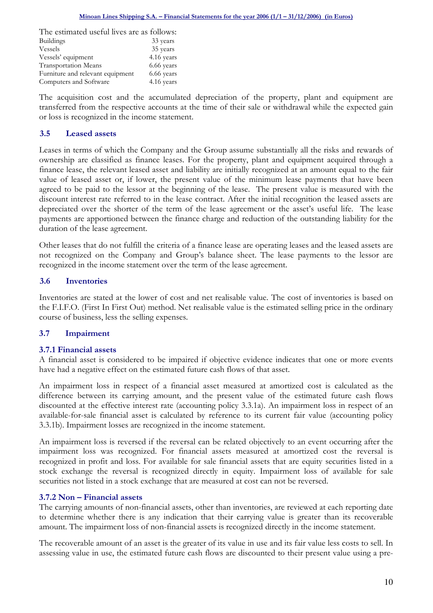The estimated useful lives are as follows:

| <b>Buildings</b>                 | 33 years   |
|----------------------------------|------------|
| <b>Vessels</b>                   | 35 years   |
| Vessels' equipment               | 4.16 years |
| <b>Transportation Means</b>      | 6.66 years |
| Furniture and relevant equipment | 6.66 years |
| Computers and Software           | 4.16 years |

The acquisition cost and the accumulated depreciation of the property, plant and equipment are transferred from the respective accounts at the time of their sale or withdrawal while the expected gain or loss is recognized in the income statement.

#### 3.5 Leased assets

Leases in terms of which the Company and the Group assume substantially all the risks and rewards of ownership are classified as finance leases. For the property, plant and equipment acquired through a finance lease, the relevant leased asset and liability are initially recognized at an amount equal to the fair value of leased asset or, if lower, the present value of the minimum lease payments that have been agreed to be paid to the lessor at the beginning of the lease. The present value is measured with the discount interest rate referred to in the lease contract. After the initial recognition the leased assets are depreciated over the shorter of the term of the lease agreement or the asset's useful life. The lease payments are apportioned between the finance charge and reduction of the outstanding liability for the duration of the lease agreement.

Other leases that do not fulfill the criteria of a finance lease are operating leases and the leased assets are not recognized on the Company and Group's balance sheet. The lease payments to the lessor are recognized in the income statement over the term of the lease agreement.

#### 3.6 Inventories

Inventories are stated at the lower of cost and net realisable value. The cost of inventories is based on the F.I.F.O. (First In First Out) method. Net realisable value is the estimated selling price in the ordinary course of business, less the selling expenses.

#### 3.7 Impairment

#### 3.7.1 Financial assets

A financial asset is considered to be impaired if objective evidence indicates that one or more events have had a negative effect on the estimated future cash flows of that asset.

An impairment loss in respect of a financial asset measured at amortized cost is calculated as the difference between its carrying amount, and the present value of the estimated future cash flows discounted at the effective interest rate (accounting policy 3.3.1a). An impairment loss in respect of an available-for-sale financial asset is calculated by reference to its current fair value (accounting policy 3.3.1b). Impairment losses are recognized in the income statement.

An impairment loss is reversed if the reversal can be related objectively to an event occurring after the impairment loss was recognized. For financial assets measured at amortized cost the reversal is recognized in profit and loss. For available for sale financial assets that are equity securities listed in a stock exchange the reversal is recognized directly in equity. Impairment loss of available for sale securities not listed in a stock exchange that are measured at cost can not be reversed.

#### 3.7.2 Non – Financial assets

The carrying amounts of non-financial assets, other than inventories, are reviewed at each reporting date to determine whether there is any indication that their carrying value is greater than its recoverable amount. The impairment loss of non-financial assets is recognized directly in the income statement.

The recoverable amount of an asset is the greater of its value in use and its fair value less costs to sell. In assessing value in use, the estimated future cash flows are discounted to their present value using a pre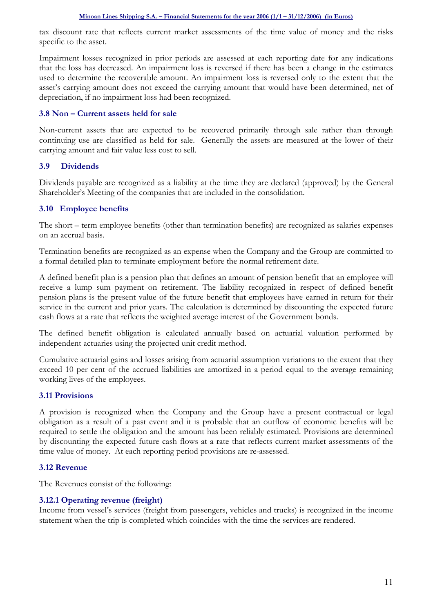tax discount rate that reflects current market assessments of the time value of money and the risks specific to the asset.

Impairment losses recognized in prior periods are assessed at each reporting date for any indications that the loss has decreased. An impairment loss is reversed if there has been a change in the estimates used to determine the recoverable amount. An impairment loss is reversed only to the extent that the asset's carrying amount does not exceed the carrying amount that would have been determined, net of depreciation, if no impairment loss had been recognized.

#### 3.8 Non – Current assets held for sale

Non-current assets that are expected to be recovered primarily through sale rather than through continuing use are classified as held for sale. Generally the assets are measured at the lower of their carrying amount and fair value less cost to sell.

#### 3.9 Dividends

Dividends payable are recognized as a liability at the time they are declared (approved) by the General Shareholder's Meeting of the companies that are included in the consolidation.

#### 3.10 Employee benefits

The short – term employee benefits (other than termination benefits) are recognized as salaries expenses on an accrual basis.

Termination benefits are recognized as an expense when the Company and the Group are committed to a formal detailed plan to terminate employment before the normal retirement date.

A defined benefit plan is a pension plan that defines an amount of pension benefit that an employee will receive a lump sum payment on retirement. The liability recognized in respect of defined benefit pension plans is the present value of the future benefit that employees have earned in return for their service in the current and prior years. The calculation is determined by discounting the expected future cash flows at a rate that reflects the weighted average interest of the Government bonds.

The defined benefit obligation is calculated annually based on actuarial valuation performed by independent actuaries using the projected unit credit method.

Cumulative actuarial gains and losses arising from actuarial assumption variations to the extent that they exceed 10 per cent of the accrued liabilities are amortized in a period equal to the average remaining working lives of the employees.

## 3.11 Provisions

A provision is recognized when the Company and the Group have a present contractual or legal obligation as a result of a past event and it is probable that an outflow of economic benefits will be required to settle the obligation and the amount has been reliably estimated. Provisions are determined by discounting the expected future cash flows at a rate that reflects current market assessments of the time value of money. At each reporting period provisions are re-assessed.

## 3.12 Revenue

The Revenues consist of the following:

#### 3.12.1 Operating revenue (freight)

Income from vessel's services (freight from passengers, vehicles and trucks) is recognized in the income statement when the trip is completed which coincides with the time the services are rendered.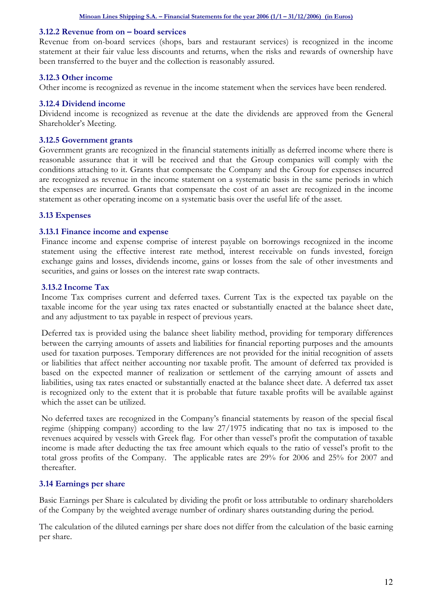#### 3.12.2 Revenue from on – board services

Revenue from on-board services (shops, bars and restaurant services) is recognized in the income statement at their fair value less discounts and returns, when the risks and rewards of ownership have been transferred to the buyer and the collection is reasonably assured.

#### 3.12.3 Other income

Other income is recognized as revenue in the income statement when the services have been rendered.

#### 3.12.4 Dividend income

Dividend income is recognized as revenue at the date the dividends are approved from the General Shareholder's Meeting.

#### 3.12.5 Government grants

Government grants are recognized in the financial statements initially as deferred income where there is reasonable assurance that it will be received and that the Group companies will comply with the conditions attaching to it. Grants that compensate the Company and the Group for expenses incurred are recognized as revenue in the income statement on a systematic basis in the same periods in which the expenses are incurred. Grants that compensate the cost of an asset are recognized in the income statement as other operating income on a systematic basis over the useful life of the asset.

#### 3.13 Expenses

#### 3.13.1 Finance income and expense

Finance income and expense comprise of interest payable on borrowings recognized in the income statement using the effective interest rate method, interest receivable on funds invested, foreign exchange gains and losses, dividends income, gains or losses from the sale of other investments and securities, and gains or losses on the interest rate swap contracts.

#### 3.13.2 Income Tax

Income Tax comprises current and deferred taxes. Current Tax is the expected tax payable on the taxable income for the year using tax rates enacted or substantially enacted at the balance sheet date, and any adjustment to tax payable in respect of previous years.

Deferred tax is provided using the balance sheet liability method, providing for temporary differences between the carrying amounts of assets and liabilities for financial reporting purposes and the amounts used for taxation purposes. Temporary differences are not provided for the initial recognition of assets or liabilities that affect neither accounting nor taxable profit. The amount of deferred tax provided is based on the expected manner of realization or settlement of the carrying amount of assets and liabilities, using tax rates enacted or substantially enacted at the balance sheet date. A deferred tax asset is recognized only to the extent that it is probable that future taxable profits will be available against which the asset can be utilized.

No deferred taxes are recognized in the Company's financial statements by reason of the special fiscal regime (shipping company) according to the law 27/1975 indicating that no tax is imposed to the revenues acquired by vessels with Greek flag. For other than vessel's profit the computation of taxable income is made after deducting the tax free amount which equals to the ratio of vessel's profit to the total gross profits of the Company. The applicable rates are 29% for 2006 and 25% for 2007 and thereafter.

#### 3.14 Earnings per share

Basic Earnings per Share is calculated by dividing the profit or loss attributable to ordinary shareholders of the Company by the weighted average number of ordinary shares outstanding during the period.

The calculation of the diluted earnings per share does not differ from the calculation of the basic earning per share.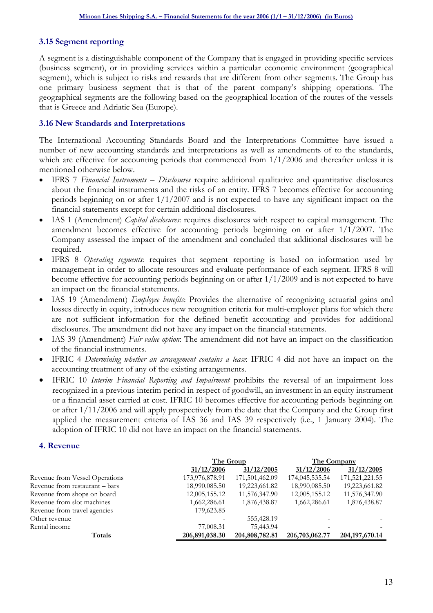#### 3.15 Segment reporting

A segment is a distinguishable component of the Company that is engaged in providing specific services (business segment), or in providing services within a particular economic environment (geographical segment), which is subject to risks and rewards that are different from other segments. The Group has one primary business segment that is that of the parent company's shipping operations. The geographical segments are the following based on the geographical location of the routes of the vessels that is Greece and Adriatic Sea (Europe).

#### 3.16 New Standards and Interpretations

The International Accounting Standards Board and the Interpretations Committee have issued a number of new accounting standards and interpretations as well as amendments of to the standards, which are effective for accounting periods that commenced from  $1/1/2006$  and thereafter unless it is mentioned otherwise below.

- IFRS 7 Financial Instruments Disclosures require additional qualitative and quantitative disclosures about the financial instruments and the risks of an entity. IFRS 7 becomes effective for accounting periods beginning on or after 1/1/2007 and is not expected to have any significant impact on the financial statements except for certain additional disclosures.
- IAS 1 (Amendment) Capital disclosures: requires disclosures with respect to capital management. The amendment becomes effective for accounting periods beginning on or after 1/1/2007. The Company assessed the impact of the amendment and concluded that additional disclosures will be required.
- IFRS 8 Operating segments: requires that segment reporting is based on information used by management in order to allocate resources and evaluate performance of each segment. IFRS 8 will become effective for accounting periods beginning on or after 1/1/2009 and is not expected to have an impact on the financial statements.
- IAS 19 (Amendment) *Employee benefits*: Provides the alternative of recognizing actuarial gains and losses directly in equity, introduces new recognition criteria for multi-employer plans for which there are not sufficient information for the defined benefit accounting and provides for additional disclosures. The amendment did not have any impact on the financial statements.
- IAS 39 (Amendment) Fair value option: The amendment did not have an impact on the classification of the financial instruments.
- IFRIC 4 Determining whether an arrangement contains a lease: IFRIC 4 did not have an impact on the accounting treatment of any of the existing arrangements.
- IFRIC 10 Interim Financial Reporting and Impairment prohibits the reversal of an impairment loss recognized in a previous interim period in respect of goodwill, an investment in an equity instrument or a financial asset carried at cost. IFRIC 10 becomes effective for accounting periods beginning on or after 1/11/2006 and will apply prospectively from the date that the Company and the Group first applied the measurement criteria of IAS 36 and IAS 39 respectively (i.e., 1 January 2004). The adoption of IFRIC 10 did not have an impact on the financial statements.

#### 4. Revenue

|                                | The Group<br>31/12/2005<br>31/12/2006 |                | The Company    |                   |  |
|--------------------------------|---------------------------------------|----------------|----------------|-------------------|--|
|                                |                                       |                | 31/12/2006     | 31/12/2005        |  |
| Revenue from Vessel Operations | 173,976,878.91                        | 171,501,462.09 | 174,045,535.54 | 171, 521, 221. 55 |  |
| Revenue from restaurant – bars | 18,990,085.50                         | 19,223,661.82  | 18,990,085.50  | 19,223,661.82     |  |
| Revenue from shops on board    | 12,005,155.12                         | 11,576,347.90  | 12,005,155.12  | 11,576,347.90     |  |
| Revenue from slot machines     | 1,662,286.61                          | 1,876,438.87   | 1,662,286.61   | 1,876,438.87      |  |
| Revenue from travel agencies   | 179,623.85                            |                |                |                   |  |
| Other revenue                  |                                       | 555,428.19     |                |                   |  |
| Rental income                  | 77,008.31                             | 75,443.94      |                |                   |  |
| Totals                         | 206,891,038.30                        | 204,808,782.81 | 206,703,062.77 | 204, 197, 670. 14 |  |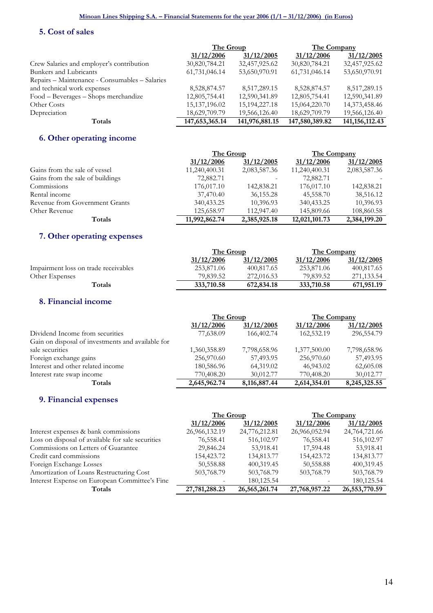## 5. Cost of sales

|                                                | The Group         |                  | <b>The Company</b> |                   |
|------------------------------------------------|-------------------|------------------|--------------------|-------------------|
|                                                | 31/12/2006        | 31/12/2005       | 31/12/2006         | 31/12/2005        |
| Crew Salaries and employer's contribution      | 30,820,784.21     | 32,457,925.62    | 30,820,784.21      | 32,457,925.62     |
| Bunkers and Lubricants                         | 61,731,046.14     | 53,650,970.91    | 61,731,046.14      | 53,650,970.91     |
| Repairs - Maintenance - Consumables - Salaries |                   |                  |                    |                   |
| and technical work expenses                    | 8,528,874.57      | 8,517,289.15     | 8,528,874.57       | 8,517,289.15      |
| Food - Beverages - Shops merchandize           | 12,805,754.41     | 12,590,341.89    | 12,805,754.41      | 12,590,341.89     |
| Other Costs                                    | 15, 137, 196.02   | 15, 194, 227. 18 | 15,064,220.70      | 14,373,458.46     |
| Depreciation                                   | 18,629,709.79     | 19,566,126.40    | 18,629,709.79      | 19,566,126.40     |
| Totals                                         | 147, 653, 365. 14 | 141,976,881.15   | 147,580,389.82     | 141, 156, 112. 43 |

## 6. Other operating income

|                                  |               | The Group    |               | The Company  |
|----------------------------------|---------------|--------------|---------------|--------------|
|                                  | 31/12/2006    | 31/12/2005   | 31/12/2006    | 31/12/2005   |
| Gains from the sale of vessel    | 11,240,400.31 | 2,083,587.36 | 11,240,400.31 | 2,083,587.36 |
| Gains from the sale of buildings | 72,882.71     | 72,882.71    |               |              |
| Commissions                      | 176,017.10    | 142,838.21   | 176,017.10    | 142,838.21   |
| Rental income                    | 37,470.40     | 36,155.28    | 45,558.70     | 38,516.12    |
| Revenue from Government Grants   | 340,433.25    | 10,396.93    | 340,433.25    | 10,396.93    |
| Other Revenue                    | 125,658.97    | 112,947.40   | 145,809.66    | 108,860.58   |
| Totals                           | 11,992,862.74 | 2,385,925.18 | 12,021,101.73 | 2,384,199.20 |

## 7. Other operating expenses

|                                      |            | The Group  |            | The Company |
|--------------------------------------|------------|------------|------------|-------------|
|                                      | 31/12/2006 | 31/12/2005 | 31/12/2006 | 31/12/2005  |
| Impairment loss on trade receivables | 253,871.06 | 400,817.65 | 253,871.06 | 400,817.65  |
| Other Expenses                       | 79.839.52  | 272,016.53 | 79.839.52  | 271,133.54  |
| Totals                               | 333,710.58 | 672,834.18 | 333,710.58 | 671,951.19  |

#### 8. Financial income

|                                                   | The Group    |              | The Company  |              |
|---------------------------------------------------|--------------|--------------|--------------|--------------|
|                                                   | 31/12/2006   | 31/12/2005   | 31/12/2006   | 31/12/2005   |
| Dividend Income from securities                   | 77,638.09    | 166,402.74   | 162,532.19   | 296,554.79   |
| Gain on disposal of investments and available for |              |              |              |              |
| sale securities                                   | 1,360,358.89 | 7,798,658.96 | 1,377,500.00 | 7,798,658.96 |
| Foreign exchange gains                            | 256,970.60   | 57,493.95    | 256,970.60   | 57,493.95    |
| Interest and other related income                 | 180,586.96   | 64,319.02    | 46,943.02    | 62,605.08    |
| Interest rate swap income                         | 770,408.20   | 30,012.77    | 770,408.20   | 30,012.77    |
| Totals                                            | 2,645,962.74 | 8,116,887.44 | 2,614,354.01 | 8,245,325.55 |

## 9. Financial expenses

|                                                   | The Group     |               | The Company   |               |
|---------------------------------------------------|---------------|---------------|---------------|---------------|
|                                                   | 31/12/2006    | 31/12/2005    | 31/12/2006    | 31/12/2005    |
| Interest expenses & bank commissions              | 26,966,132.19 | 24,776,212.81 | 26,966,052.94 | 24,764,721.66 |
| Loss on disposal of available for sale securities | 76,558.41     | 516,102.97    | 76,558.41     | 516,102.97    |
| Commissions on Letters of Guarantee               | 29,846.24     | 53,918.41     | 17,594.48     | 53,918.41     |
| Credit card commissions                           | 154,423.72    | 134,813.77    | 154,423.72    | 134,813.77    |
| Foreign Exchange Losses                           | 50,558.88     | 400,319.45    | 50,558.88     | 400,319.45    |
| Amortization of Loans Restructuring Cost          | 503,768.79    | 503,768.79    | 503,768.79    | 503,768.79    |
| Interest Expense on European Committee's Fine     |               | 180,125.54    |               | 180, 125.54   |
| Totals                                            | 27,781,288.23 | 26,565,261.74 | 27,768,957.22 | 26,553,770.59 |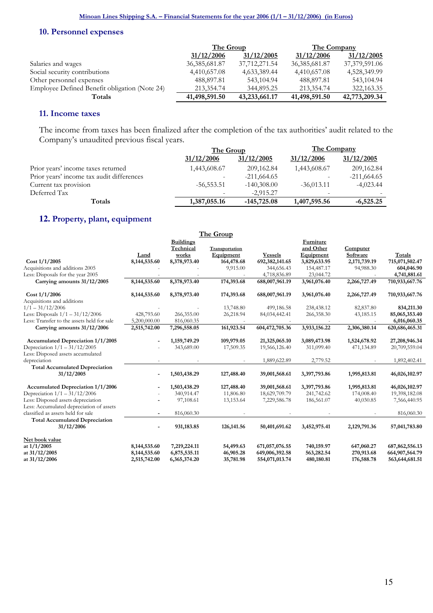#### 10. Personnel expenses

|                                               | The Group                |               | The Company     |                 |  |
|-----------------------------------------------|--------------------------|---------------|-----------------|-----------------|--|
|                                               | 31/12/2006<br>31/12/2005 |               | 31/12/2006      | 31/12/2005      |  |
| Salaries and wages                            | 36, 385, 681.87          | 37,712,271.54 | 36, 385, 681.87 | 37, 379, 591.06 |  |
| Social security contributions                 | 4,410,657.08             | 4,633,389.44  | 4,410,657.08    | 4,528,349.99    |  |
| Other personnel expenses                      | 488,897.81               | 543,104.94    | 488,897.81      | 543,104.94      |  |
| Employee Defined Benefit obligation (Note 24) | 213,354.74               | 344,895.25    | 213,354.74      | 322, 163. 35    |  |
| Totals                                        | 41,498,591.50            | 43,233,661.17 | 41,498,591.50   | 42,773,209.34   |  |

#### 11. Income taxes

The income from taxes has been finalized after the completion of the tax authorities' audit related to the Company's unaudited previous fiscal years.

|                                           | The Group    |               | The Company  |               |  |
|-------------------------------------------|--------------|---------------|--------------|---------------|--|
|                                           | 31/12/2006   | 31/12/2005    | 31/12/2006   | 31/12/2005    |  |
| Prior years' income taxes returned        | 1,443,608.67 | 209,162.84    | 1,443,608.67 | 209,162.84    |  |
| Prior years' income tax audit differences |              | $-211,664.65$ |              | $-211,664.65$ |  |
| Current tax provision                     | $-56,553.51$ | $-140,308.00$ | $-36,013.11$ | $-4,023.44$   |  |
| Deferred Tax                              |              | $-2.915.27$   |              |               |  |
| Totals                                    | 1,387,055.16 | $-145,725.08$ | 1,407,595.56 | $-6,525.25$   |  |

## **12.** Property, plant, equipment

|                                            |              |                  | The Group      |                |              |              |                   |
|--------------------------------------------|--------------|------------------|----------------|----------------|--------------|--------------|-------------------|
|                                            |              | <b>Buildings</b> |                |                | Furniture    |              |                   |
|                                            |              | Technical        | Transportation |                | and Other    | Computer     |                   |
|                                            | Land         | works            | Equipment      | <b>Vessels</b> | Equipment    | Software     | Totals            |
| Cost 1/1/2005                              | 8,144,535.60 | 8,378,973.40     | 164,478.68     | 692,382,141.65 | 3,829,633.95 | 2,171,739.19 | 715,071,502.47    |
| Acquisitions and additions 2005            |              |                  | 9,915.00       | 344,656.43     | 154,487.17   | 94,988.30    | 604,046.90        |
| Less: Disposals for the year 2005          |              |                  |                | 4,718,836.89   | 23,044.72    |              | 4,741,881.61      |
| Carrying amounts 31/12/2005                | 8,144,535.60 | 8,378,973.40     | 174,393.68     | 688,007,961.19 | 3,961,076.40 | 2,266,727.49 | 710,933,667.76    |
| $Cost\ 1/1/2006$                           | 8,144,535.60 | 8,378,973.40     | 174,393.68     | 688,007,961.19 | 3,961,076.40 | 2,266,727.49 | 710,933,667.76    |
| Acquisitions and additions                 |              |                  |                |                |              |              |                   |
| $1/1 - 31/12/2006$                         |              |                  | 13,748.80      | 499,186.58     | 238,438.12   | 82,837.80    | 834,211.30        |
| Less: Disposals $1/1 - 31/12/2006$         | 428,793.60   | 266,355.00       | 26,218.94      | 84,034,442.41  | 266,358.30   | 43,185.15    | 85,065,353.40     |
| Less: Transfer to the assets held for sale | 5,200,000.00 | 816,060.35       |                |                |              |              | 6,016,060.35      |
| Carrying amounts 31/12/2006                | 2,515,742.00 | 7,296,558.05     | 161,923.54     | 604,472,705.36 | 3,933,156.22 | 2,306,380.14 | 620, 686, 465.31  |
| Accumulated Depreciation 1/1/2005          |              | 1,159,749.29     | 109,979.05     | 21,325,065.10  | 3,089,473.98 | 1,524,678.92 | 27,208,946.34     |
| Depreciation $1/1 - 31/12/2005$            |              | 343,689.00       | 17,509.35      | 19,566,126.40  | 311,099.40   | 471,134.89   | 20,709,559.04     |
| Less: Disposed assets accumulated          |              |                  |                |                |              |              |                   |
| depreciation                               |              |                  |                | 1,889,622.89   | 2,779.52     |              | 1,892,402.41      |
| <b>Total Accumulated Depreciation</b>      |              |                  |                |                |              |              |                   |
| 31/12/2005                                 |              | 1,503,438.29     | 127,488.40     | 39,001,568.61  | 3,397,793.86 | 1,995,813.81 | 46,026,102.97     |
| <b>Accumulated Depreciation 1/1/2006</b>   |              | 1,503,438.29     | 127,488.40     | 39,001,568.61  | 3,397,793.86 | 1,995,813.81 | 46,026,102.97     |
| Depreciation $1/1 - 31/12/2006$            |              | 340,914.47       | 11,806.80      | 18,629,709.79  | 241,742.62   | 174,008.40   | 19,398,182.08     |
| Less: Disposed assets depreciation         |              | 97,108.61        | 13,153.64      | 7,229,586.78   | 186,561.07   | 40,030.85    | 7,566,440.95      |
| Less: Accumulated depreciation of assets   |              |                  |                |                |              |              |                   |
| classified as assets held for sale         |              | 816,060.30       |                |                |              |              | 816,060.30        |
| <b>Total Accumulated Depreciation</b>      |              |                  |                |                |              |              |                   |
| 31/12/2006                                 |              | 931,183.85       | 126, 141.56    | 50,401,691.62  | 3,452,975.41 | 2,129,791.36 | 57,041,783.80     |
| Net book value                             |              |                  |                |                |              |              |                   |
| at $1/1/2005$                              | 8,144,535.60 | 7,219,224.11     | 54,499.63      | 671,057,076.55 | 740,159.97   | 647,060.27   | 687, 862, 556. 13 |
| at 31/12/2005                              | 8,144,535.60 | 6,875,535.11     | 46,905.28      | 649,006,392.58 | 563,282.54   | 270,913.68   | 664, 907, 564. 79 |
| at 31/12/2006                              | 2,515,742.00 | 6,365,374.20     | 35,781.98      | 554,071,013.74 | 480,180.81   | 176,588.78   | 563,644,681.51    |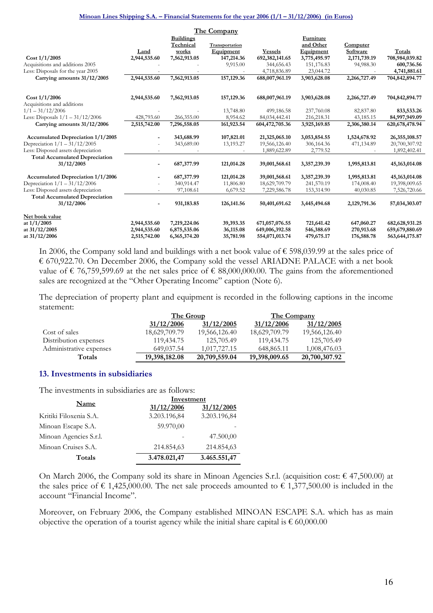|                                                     |                          |                  | The Company    |                |              |              |                  |
|-----------------------------------------------------|--------------------------|------------------|----------------|----------------|--------------|--------------|------------------|
|                                                     |                          | <b>Buildings</b> |                |                | Furniture    |              |                  |
|                                                     |                          | Technical        | Transportation |                | and Other    | Computer     |                  |
|                                                     | Land                     | works            | Equipment      | <b>Vessels</b> | Equipment    | Software     | Totals           |
| $Cost\ 1/1/2005$                                    | 2,944,535.60             | 7,562,913.05     | 147,214.36     | 692,382,141.65 | 3,775,495.97 | 2,171,739.19 | 708,984,039.82   |
| Acquisitions and additions 2005                     |                          |                  | 9,915.00       | 344,656.43     | 151,176.83   | 94,988.30    | 600,736.56       |
| Less: Disposals for the year 2005                   |                          |                  |                | 4,718,836.89   | 23,044.72    |              | 4,741,881.61     |
| Carrying amounts 31/12/2005                         | 2,944,535.60             | 7,562,913.05     | 157,129.36     | 688,007,961.19 | 3,903,628.08 | 2,266,727.49 | 704,842,894.77   |
| $Cost\ 1/1/2006$                                    | 2,944,535.60             | 7,562,913.05     | 157,129.36     | 688,007,961.19 | 3,903,628.08 | 2,266,727.49 | 704,842,894.77   |
| Acquisitions and additions                          |                          |                  |                |                |              |              |                  |
| $1/1 - 31/12/2006$                                  |                          |                  | 13,748.80      | 499,186.58     | 237,760.08   | 82,837.80    | 833,533.26       |
| Less: Disposals $1/1 - 31/12/2006$                  | 428,793.60               | 266,355.00       | 8,954.62       | 84,034,442.41  | 216,218.31   | 43,185.15    | 84,997,949.09    |
| Carrying amounts 31/12/2006                         | 2,515,742.00             | 7,296,558.05     | 161,923.54     | 604,472,705.36 | 3,925,169.85 | 2,306,380.14 | 620, 678, 478.94 |
| Accumulated Depreciation 1/1/2005                   |                          | 343,688.99       | 107,821.01     | 21,325,065.10  | 3,053,854.55 | 1,524,678.92 | 26, 355, 108.57  |
| Depreciation $1/1 - 31/12/2005$                     |                          | 343,689.00       | 13,193.27      | 19,566,126.40  | 306,164.36   | 471,134.89   | 20,700,307.92    |
| Less: Disposed assets depreciation                  |                          |                  |                | 1,889,622.89   | 2,779.52     |              | 1,892,402.41     |
| <b>Total Accumulated Depreciation</b>               |                          |                  |                |                |              |              |                  |
| 31/12/2005                                          |                          | 687,377.99       | 121,014.28     | 39,001,568.61  | 3,357,239.39 | 1,995,813.81 | 45,163,014.08    |
| Accumulated Depreciation 1/1/2006                   | $\overline{\phantom{0}}$ | 687,377.99       | 121,014.28     | 39,001,568.61  | 3,357,239.39 | 1,995,813.81 | 45,163,014.08    |
| Depreciation $1/1 - 31/12/2006$                     |                          | 340,914.47       | 11,806.80      | 18,629,709.79  | 241,570.19   | 174,008.40   | 19,398,009.65    |
| Less: Disposed assets depreciation                  |                          | 97,108.61        | 6,679.52       | 7,229,586.78   | 153,314.90   | 40,030.85    | 7,526,720.66     |
| <b>Total Accumulated Depreciation</b><br>31/12/2006 |                          | 931, 183.85      | 126, 141.56    | 50,401,691.62  | 3,445,494.68 | 2,129,791.36 | 57,034,303.07    |
| Net book value                                      |                          |                  |                |                |              |              |                  |
| at $1/1/2005$                                       | 2,944,535.60             | 7,219,224.06     | 39, 393. 35    | 671,057,076.55 | 721,641.42   | 647,060.27   | 682, 628, 931.25 |
| at 31/12/2005                                       | 2,944,535.60             | 6,875,535.06     | 36,115.08      | 649,006,392.58 | 546,388.69   | 270,913.68   | 659,679,880.69   |
| at 31/12/2006                                       | 2,515,742.00             | 6,365,374.20     | 35,781.98      | 554,071,013.74 | 479,675.17   | 176,588.78   | 563,644,175.87   |

In 2006, the Company sold land and buildings with a net book value of € 598,039.99 at the sales price of € 670,922.70. On December 2006, the Company sold the vessel ARIADNE PALACE with a net book value of € 76,759,599.69 at the net sales price of € 88,000,000.00. The gains from the aforementioned sales are recognized at the "Other Operating Income" caption (Note 6).

The depreciation of property plant and equipment is recorded in the following captions in the income statement:

|                         |               | The Group     |               | <b>The Company</b> |
|-------------------------|---------------|---------------|---------------|--------------------|
|                         | 31/12/2006    | 31/12/2005    | 31/12/2006    | 31/12/2005         |
| Cost of sales           | 18,629,709.79 | 19,566,126.40 | 18,629,709.79 | 19,566,126.40      |
| Distribution expenses   | 119,434.75    | 125,705.49    | 119,434.75    | 125,705.49         |
| Administrative expenses | 649,037.54    | 1.017.727.15  | 648,865.11    | 1,008,476.03       |
| Totals                  | 19,398,182.08 | 20,709,559.04 | 19,398,009.65 | 20,700,307.92      |

#### 13. Investments in subsidiaries

The investments in subsidiaries are as follows:

|                        |              | Investment   |  |  |  |
|------------------------|--------------|--------------|--|--|--|
| Name                   | 31/12/2006   | 31/12/2005   |  |  |  |
| Kritiki Filoxenia S.A. | 3.203.196,84 | 3.203.196,84 |  |  |  |
| Minoan Escape S.A.     | 59.970,00    |              |  |  |  |
| Minoan Agencies S.r.l. |              | 47.500,00    |  |  |  |
| Minoan Cruises S.A.    | 214.854,63   | 214.854,63   |  |  |  |
| Totals                 | 3.478.021,47 | 3.465.551,47 |  |  |  |

On March 2006, the Company sold its share in Minoan Agencies S.r.l. (acquisition cost: € 47,500.00) at the sales price of  $\epsilon$  1,425,000.00. The net sale proceeds amounted to  $\epsilon$  1,377,500.00 is included in the account "Financial Income".

Moreover, on February 2006, the Company established MINOAN ESCAPE S.A. which has as main objective the operation of a tourist agency while the initial share capital is  $\epsilon$  60,000.00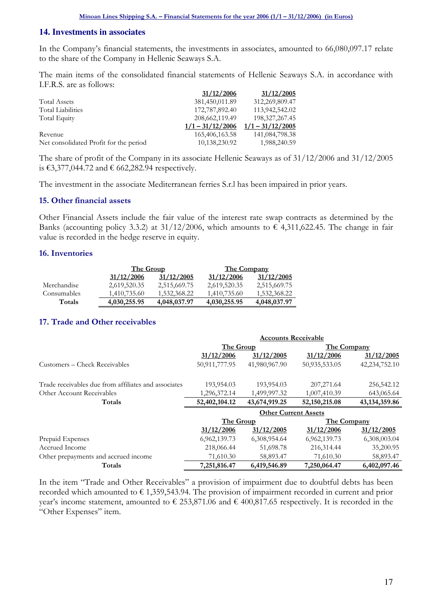#### **14. Investments in associates**

In the Company's financial statements, the investments in associates, amounted to 66,080,097.17 relate to the share of the Company in Hellenic Seaways S.A.

The main items of the consolidated financial statements of Hellenic Seaways S.A. in accordance with I.F.R.S. are as follows:

|                                        | 31/12/2006         | 31/12/2005         |
|----------------------------------------|--------------------|--------------------|
| <b>Total Assets</b>                    | 381,450,011.89     | 312,269,809.47     |
| <b>Total Liabilities</b>               | 172,787,892.40     | 113,942,542.02     |
| Total Equity                           | 208, 662, 119.49   | 198, 327, 267. 45  |
|                                        | $1/1 - 31/12/2006$ | $1/1 - 31/12/2005$ |
| Revenue                                | 165,406,163.58     | 141,084,798.38     |
| Net consolidated Profit for the period | 10,138,230.92      | 1,988,240.59       |

The share of profit of the Company in its associate Hellenic Seaways as of 31/12/2006 and 31/12/2005 is €3,377,044.72 and € 662,282.94 respectively.

The investment in the associate Mediterranean ferries S.r.l has been impaired in prior years.

#### 15. Other financial assets

Other Financial Assets include the fair value of the interest rate swap contracts as determined by the Banks (accounting policy 3.3.2) at 31/12/2006, which amounts to  $\epsilon$  4,311,622.45. The change in fair value is recorded in the hedge reserve in equity.

#### 16. Inventories

|             | The Group    |              | The Company  |              |
|-------------|--------------|--------------|--------------|--------------|
|             | 31/12/2006   | 31/12/2005   | 31/12/2006   | 31/12/2005   |
| Merchandise | 2,619,520.35 | 2,515,669.75 | 2,619,520.35 | 2,515,669.75 |
| Consumables | 1,410,735.60 | 1,532,368.22 | 1,410,735.60 | 1,532,368.22 |
| Totals      | 4,030,255.95 | 4,048,037.97 | 4,030,255.95 | 4,048,037.97 |

## 17. Trade and Other receivables

|                                                      | <b>Accounts Receivable</b>  |               |                 |                 |  |
|------------------------------------------------------|-----------------------------|---------------|-----------------|-----------------|--|
|                                                      | The Group                   |               | The Company     |                 |  |
|                                                      | 31/12/2006                  | 31/12/2005    | 31/12/2006      | 31/12/2005      |  |
| Customers – Check Receivables                        | 50,911,777.95               | 41,980,967.90 | 50,935,533.05   | 42,234,752.10   |  |
| Trade receivables due from affiliates and associates | 193,954.03                  | 193,954.03    | 207, 271.64     | 256,542.12      |  |
| Other Account Receivables                            | 1,296,372.14                | 1,499,997.32  | 1,007,410.39    | 643,065.64      |  |
| Totals                                               | 52,402,104.12               | 43,674,919.25 | 52, 150, 215.08 | 43, 134, 359.86 |  |
|                                                      | <b>Other Current Assets</b> |               |                 |                 |  |
|                                                      | The Group<br>The Company    |               |                 |                 |  |
|                                                      | 31/12/2006                  | 31/12/2005    | 31/12/2006      | 31/12/2005      |  |
| Prepaid Expenses                                     | 6,962,139.73                | 6,308,954.64  | 6,962,139.73    | 6,308,003.04    |  |
| Accrued Income                                       | 218,066.44                  | 51,698.78     | 216,314.44      | 35,200.95       |  |
| Other prepayments and accrued income                 | 71,610.30                   | 58,893.47     | 71,610.30       | 58,893.47       |  |
| Totals                                               | 7,251,816.47                | 6,419,546.89  | 7,250,064.47    | 6,402,097.46    |  |

In the item "Trade and Other Receivables" a provision of impairment due to doubtful debts has been recorded which amounted to  $\epsilon$  1,359,543.94. The provision of impairment recorded in current and prior year's income statement, amounted to  $\epsilon$  253,871.06 and  $\epsilon$  400,817.65 respectively. It is recorded in the "Other Expenses" item.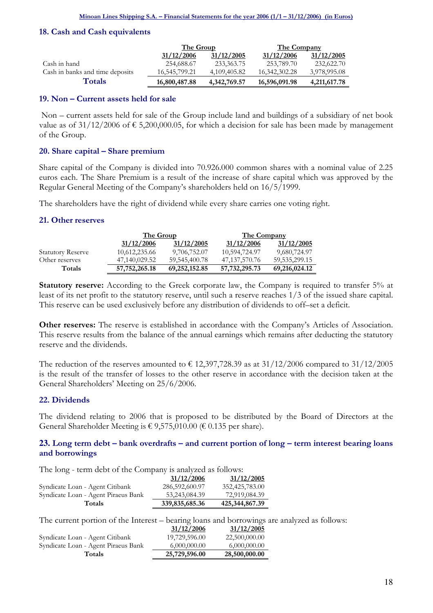#### 18. Cash and Cash equivalents

|                                 | <b>The Group</b> |              | The Company   |              |
|---------------------------------|------------------|--------------|---------------|--------------|
|                                 | 31/12/2006       | 31/12/2005   | 31/12/2006    | 31/12/2005   |
| Cash in hand                    | 254,688.67       | 233,363.75   | 253,789.70    | 232,622.70   |
| Cash in banks and time deposits | 16, 545, 799. 21 | 4,109,405.82 | 16,342,302.28 | 3,978,995.08 |
| <b>Totals</b>                   | 16,800,487.88    | 4,342,769.57 | 16,596,091.98 | 4,211,617.78 |

#### 19. Non – Current assets held for sale

 Non – current assets held for sale of the Group include land and buildings of a subsidiary of net book value as of  $31/12/2006$  of  $\epsilon$  5,200,000.05, for which a decision for sale has been made by management of the Group.

#### 20. Share capital – Share premium

Share capital of the Company is divided into 70.926.000 common shares with a nominal value of 2.25 euros each. The Share Premium is a result of the increase of share capital which was approved by the Regular General Meeting of the Company's shareholders held on 16/5/1999.

The shareholders have the right of dividend while every share carries one voting right.

#### 21. Other reserves

|                          |               | The Group        |                  | The Company      |
|--------------------------|---------------|------------------|------------------|------------------|
|                          | 31/12/2006    | 31/12/2005       | 31/12/2006       | 31/12/2005       |
| <b>Statutory Reserve</b> | 10,612,235.66 | 9,706,752.07     | 10,594,724.97    | 9,680,724.97     |
| Other reserves           | 47,140,029.52 | 59, 545, 400. 78 | 47, 137, 570. 76 | 59, 535, 299. 15 |
| <b>Totals</b>            | 57,752,265.18 | 69,252,152.85    | 57,732,295.73    | 69,216,024.12    |

Statutory reserve: According to the Greek corporate law, the Company is required to transfer 5% at least of its net profit to the statutory reserve, until such a reserve reaches 1/3 of the issued share capital. This reserve can be used exclusively before any distribution of dividends to off–set a deficit.

Other reserves: The reserve is established in accordance with the Company's Articles of Association. This reserve results from the balance of the annual earnings which remains after deducting the statutory reserve and the dividends.

The reduction of the reserves amounted to  $\epsilon$  12,397,728.39 as at 31/12/2006 compared to 31/12/2005 is the result of the transfer of losses to the other reserve in accordance with the decision taken at the General Shareholders' Meeting on 25/6/2006.

#### 22. Dividends

The dividend relating to 2006 that is proposed to be distributed by the Board of Directors at the General Shareholder Meeting is  $\epsilon$  9,575,010.00 ( $\epsilon$  0.135 per share).

#### **23.** Long term debt – bank overdrafts – and current portion of long – term interest bearing loans and borrowings

The long - term debt of the Company is analyzed as follows:

|                                     | 31/12/2006     | 31/12/2005     |
|-------------------------------------|----------------|----------------|
| Syndicate Loan - Agent Citibank     | 286,592,600.97 | 352,425,783.00 |
| Syndicate Loan - Agent Piraeus Bank | 53,243,084.39  | 72,919,084.39  |
| Totals                              | 339,835,685.36 | 425,344,867.39 |

The current portion of the Interest – bearing loans and borrowings are analyzed as follows:

|                                     | 31/12/2006    | 31/12/2005    |
|-------------------------------------|---------------|---------------|
| Syndicate Loan - Agent Citibank     | 19,729,596.00 | 22,500,000.00 |
| Syndicate Loan - Agent Piraeus Bank | 6,000,000.00  | 6,000,000.00  |
| Totals                              | 25,729,596.00 | 28,500,000.00 |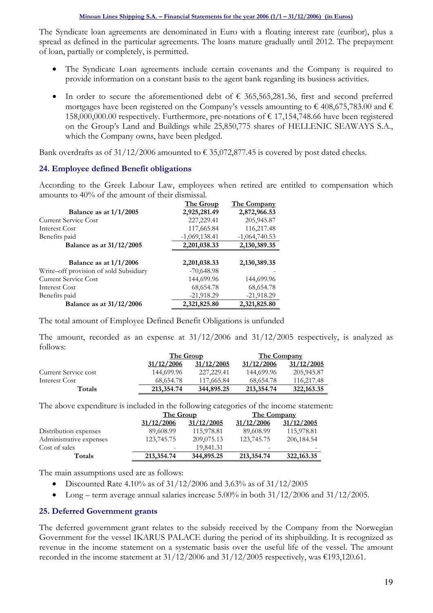The Syndicate loan agreements are denominated in Euro with a floating interest rate (euribor), plus a spread as defined in the particular agreements. The loans mature gradually until 2012. The prepayment of loan, partially or completely, is permitted.

- The Syndicate Loan agreements include certain covenants and the Company is required to provide information on a constant basis to the agent bank regarding its business activities.
- In order to secure the aforementioned debt of  $\epsilon$  365,565,281.36, first and second preferred mortgages have been registered on the Company's vessels amounting to  $\epsilon$  408,675,783.00 and  $\epsilon$ 158,000,000.00 respectively. Furthermore, pre-notations of € 17,154,748.66 have been registered on the Group's Land and Buildings while 25,850,775 shares of HELLENIC SEAWAYS S.A., which the Company owns, have been pledged.

Bank overdrafts as of  $31/12/2006$  amounted to  $\epsilon$  35,072,877.45 is covered by post dated checks.

#### 24. Employee defined Benefit obligations

According to the Greek Labour Law, employees when retired are entitled to compensation which amounts to 40% of the amount of their dismissal.

|                                        | The Group       | <b>The Company</b> |
|----------------------------------------|-----------------|--------------------|
| Balance as at $1/1/2005$               | 2,925,281.49    | 2,872,966.53       |
| <b>Current Service Cost</b>            | 227,229.41      | 205,945.87         |
| Interest Cost                          | 117,665.84      | 116,217.48         |
| Benefits paid                          | $-1,069,138.41$ | $-1,064,740.53$    |
| Balance as at 31/12/2005               | 2,201,038.33    | 2,130,389.35       |
|                                        |                 |                    |
| Balance as at $1/1/2006$               | 2,201,038.33    | 2,130,389.35       |
| Write-off provision of sold Subsidiary | $-70,648.98$    |                    |
| <b>Current Service Cost</b>            | 144,699.96      | 144,699.96         |
| Interest Cost                          | 68,654.78       | 68,654.78          |
| Benefits paid                          | $-21,918.29$    | $-21,918.29$       |
| Balance as at 31/12/2006               | 2,321,825.80    | 2,321,825.80       |

The total amount of Employee Defined Benefit Obligations is unfunded

The amount, recorded as an expense at 31/12/2006 and 31/12/2005 respectively, is analyzed as follows:

|                      |            | The Group  |            | <b>The Company</b> |
|----------------------|------------|------------|------------|--------------------|
|                      | 31/12/2006 | 31/12/2005 | 31/12/2006 | 31/12/2005         |
| Current Service cost | 144,699.96 | 227,229.41 | 144,699.96 | 205,945.87         |
| Interest Cost        | 68,654.78  | 117,665.84 | 68,654.78  | 116,217.48         |
| Totals               | 213,354.74 | 344,895.25 | 213,354.74 | 322, 163. 35       |

The above expenditure is included in the following categories of the income statement:

|                         |                          | The Group  |                          | <b>The Company</b> |
|-------------------------|--------------------------|------------|--------------------------|--------------------|
|                         | 31/12/2006               | 31/12/2005 | 31/12/2006               | 31/12/2005         |
| Distribution expenses   | 89,608.99                | 115,978.81 | 89,608.99                | 115,978.81         |
| Administrative expenses | 123,745.75               | 209,075.13 | 123,745.75               | 206,184.54         |
| Cost of sales           | $\overline{\phantom{0}}$ | 19.841.31  | $\overline{\phantom{a}}$ |                    |
| Totals                  | 213, 354. 74             | 344,895.25 | 213,354.74               | 322, 163. 35       |

The main assumptions used are as follows:

- Discounted Rate 4.10% as of  $31/12/2006$  and  $3.63\%$  as of  $31/12/2005$
- Long term average annual salaries increase  $5.00\%$  in both  $31/12/2006$  and  $31/12/2005$ .

#### 25. Deferred Government grants

The deferred government grant relates to the subsidy received by the Company from the Norwegian Government for the vessel IKARUS PALACE during the period of its shipbuilding. It is recognized as revenue in the income statement on a systematic basis over the useful life of the vessel. The amount recorded in the income statement at  $31/12/2006$  and  $31/12/2005$  respectively, was  $\text{\textsterling}193,120.61$ .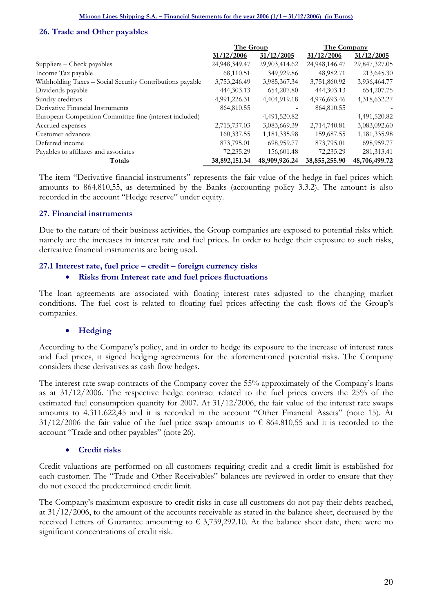## 26. Trade and Other payables

|                                                           | The Group     |                 | The Company   |               |
|-----------------------------------------------------------|---------------|-----------------|---------------|---------------|
|                                                           | 31/12/2006    | 31/12/2005      | 31/12/2006    | 31/12/2005    |
| Suppliers – Check payables                                | 24,948,349.47 | 29,903,414.62   | 24,948,146.47 | 29,847,327.05 |
| Income Tax payable                                        | 68,110.51     | 349,929.86      | 48,982.71     | 213,645.30    |
| Withholding Taxes - Social Security Contributions payable | 3,753,246.49  | 3,985,367.34    | 3,751,860.92  | 3,936,464.77  |
| Dividends payable                                         | 444, 303. 13  | 654, 207.80     | 444,303.13    | 654, 207. 75  |
| Sundry creditors                                          | 4,991,226.31  | 4,404,919.18    | 4,976,693.46  | 4,318,632.27  |
| Derivative Financial Instruments                          | 864,810.55    |                 | 864,810.55    |               |
| European Competition Committee fine (interest included)   |               | 4,491,520.82    |               | 4,491,520.82  |
| Accrued expenses                                          | 2,715,737.03  | 3,083,669.39    | 2,714,740.81  | 3,083,092.60  |
| Customer advances                                         | 160,337.55    | 1, 181, 335. 98 | 159,687.55    | 1,181,335.98  |
| Deferred income                                           | 873,795.01    | 698,959.77      | 873,795.01    | 698,959.77    |
| Payables to affiliates and associates                     | 72,235.29     | 156,601.48      | 72,235.29     | 281,313.41    |
| Totals                                                    | 38,892,151.34 | 48,909,926.24   | 38,855,255.90 | 48,706,499.72 |

The item "Derivative financial instruments" represents the fair value of the hedge in fuel prices which amounts to 864.810,55, as determined by the Banks (accounting policy 3.3.2). The amount is also recorded in the account "Hedge reserve" under equity.

#### 27. Financial instruments

Due to the nature of their business activities, the Group companies are exposed to potential risks which namely are the increases in interest rate and fuel prices. In order to hedge their exposure to such risks, derivative financial instruments are being used.

#### 27.1 Interest rate, fuel price – credit – foreign currency risks

#### • Risks from Interest rate and fuel prices fluctuations

The loan agreements are associated with floating interest rates adjusted to the changing market conditions. The fuel cost is related to floating fuel prices affecting the cash flows of the Group's companies.

## • Hedging

According to the Company's policy, and in order to hedge its exposure to the increase of interest rates and fuel prices, it signed hedging agreements for the aforementioned potential risks. The Company considers these derivatives as cash flow hedges.

The interest rate swap contracts of the Company cover the 55% approximately of the Company's loans as at 31/12/2006. The respective hedge contract related to the fuel prices covers the 25% of the estimated fuel consumption quantity for 2007. At 31/12/2006, the fair value of the interest rate swaps amounts to 4.311.622,45 and it is recorded in the account "Other Financial Assets" (note 15). At  $31/12/2006$  the fair value of the fuel price swap amounts to  $\epsilon$  864.810,55 and it is recorded to the account "Trade and other payables" (note 26).

#### • Credit risks

Credit valuations are performed on all customers requiring credit and a credit limit is established for each customer. The "Trade and Other Receivables" balances are reviewed in order to ensure that they do not exceed the predetermined credit limit.

The Company's maximum exposure to credit risks in case all customers do not pay their debts reached, at 31/12/2006, to the amount of the accounts receivable as stated in the balance sheet, decreased by the received Letters of Guarantee amounting to  $\epsilon$  3,739,292.10. At the balance sheet date, there were no significant concentrations of credit risk.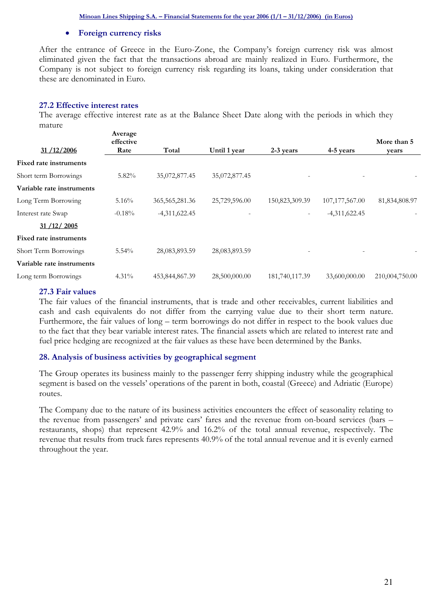#### • Foreign currency risks

After the entrance of Greece in the Euro-Zone, the Company's foreign currency risk was almost eliminated given the fact that the transactions abroad are mainly realized in Euro. Furthermore, the Company is not subject to foreign currency risk regarding its loans, taking under consideration that these are denominated in Euro.

#### 27.2 Effective interest rates

The average effective interest rate as at the Balance Sheet Date along with the periods in which they mature

|                               | Average<br>effective |                   |                          |                |                  | More than 5    |
|-------------------------------|----------------------|-------------------|--------------------------|----------------|------------------|----------------|
| 31/12/2006                    | Rate                 | Total             | Until 1 year             | 2-3 years      | 4-5 years        | vears          |
| <b>Fixed rate instruments</b> |                      |                   |                          |                |                  |                |
| Short term Borrowings         | $5.82\%$             | 35,072,877.45     | 35,072,877.45            |                |                  |                |
| Variable rate instruments     |                      |                   |                          |                |                  |                |
| Long Term Borrowing           | $5.16\%$             | 365, 565, 281. 36 | 25,729,596.00            | 150,823,309.39 | 107, 177, 567.00 | 81,834,808.97  |
| Interest rate Swap            | $-0.18%$             | $-4,311,622.45$   | $\overline{\phantom{a}}$ | $\sim$         | $-4,311,622.45$  |                |
| 31/12/2005                    |                      |                   |                          |                |                  |                |
| Fixed rate instruments        |                      |                   |                          |                |                  |                |
| Short Term Borrowings         | $5.54\%$             | 28,083,893.59     | 28,083,893.59            |                |                  |                |
| Variable rate instruments     |                      |                   |                          |                |                  |                |
| Long term Borrowings          | $4.31\%$             | 453,844,867.39    | 28,500,000.00            | 181,740,117.39 | 33,600,000.00    | 210,004,750.00 |

#### 27.3 Fair values

The fair values of the financial instruments, that is trade and other receivables, current liabilities and cash and cash equivalents do not differ from the carrying value due to their short term nature. Furthermore, the fair values of long – term borrowings do not differ in respect to the book values due to the fact that they bear variable interest rates. The financial assets which are related to interest rate and fuel price hedging are recognized at the fair values as these have been determined by the Banks.

#### 28. Analysis of business activities by geographical segment

The Group operates its business mainly to the passenger ferry shipping industry while the geographical segment is based on the vessels' operations of the parent in both, coastal (Greece) and Adriatic (Europe) routes.

The Company due to the nature of its business activities encounters the effect of seasonality relating to the revenue from passengers' and private cars' fares and the revenue from on-board services (bars – restaurants, shops) that represent 42.9% and 16.2% of the total annual revenue, respectively. The revenue that results from truck fares represents 40.9% of the total annual revenue and it is evenly earned throughout the year.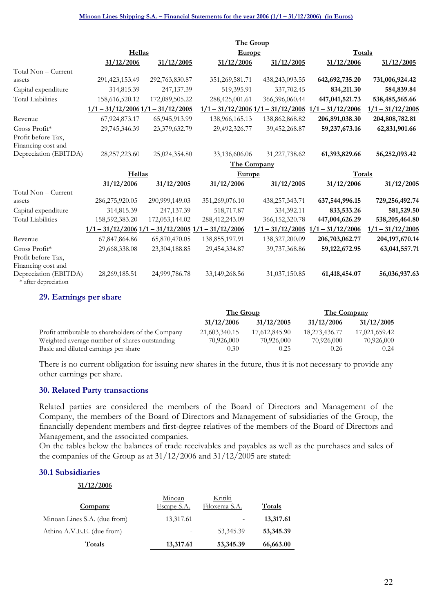#### Minoan Lines Shipping S.A. – Financial Statements for the year 2006 (1/1 – 31/12/2006) (in Euros)

|                                               |                                                          |                |                | <b>The Group</b>                      |                    |                    |
|-----------------------------------------------|----------------------------------------------------------|----------------|----------------|---------------------------------------|--------------------|--------------------|
|                                               | Hellas                                                   |                | <b>Europe</b>  |                                       | Totals             |                    |
|                                               | 31/12/2006                                               | 31/12/2005     | 31/12/2006     | 31/12/2005                            | 31/12/2006         | 31/12/2005         |
| Total Non – Current                           |                                                          |                |                |                                       |                    |                    |
| assets                                        | 291,423,153.49                                           | 292,763,830.87 | 351,269,581.71 | 438,243,093.55                        | 642,692,735.20     | 731,006,924.42     |
| Capital expenditure                           | 314,815.39                                               | 247,137.39     | 519,395.91     | 337,702.45                            | 834,211.30         | 584,839.84         |
| <b>Total Liabilities</b>                      | 158,616,520.12                                           | 172,089,505.22 | 288,425,001.61 | 366,396,060.44                        | 447,041,521.73     | 538,485,565.66     |
|                                               | $1/1 - 31/12/20061/1$                                    | $-31/12/2005$  |                | $1/1 - 31/12/2006$ $1/1 - 31/12/2005$ | $1/1 - 31/12/2006$ | $1/1 - 31/12/2005$ |
| Revenue                                       | 67,924,873.17                                            | 65,945,913.99  | 138,966,165.13 | 138,862,868.82                        | 206,891,038.30     | 204,808,782.81     |
| Gross Profit*                                 | 29,745,346.39                                            | 23,379,632.79  | 29,492,326.77  | 39,452,268.87                         | 59,237,673.16      | 62,831,901.66      |
| Profit before Tax,<br>Financing cost and      |                                                          |                |                |                                       |                    |                    |
| Depreciation (EBITDA)                         | 28, 257, 223. 60                                         | 25,024,354.80  | 33,136,606.06  | 31,227,738.62                         | 61,393,829.66      | 56,252,093.42      |
|                                               |                                                          |                |                | The Company                           |                    |                    |
|                                               | Hellas                                                   |                | Europe         |                                       | Totals             |                    |
|                                               | 31/12/2006                                               | 31/12/2005     | 31/12/2006     | 31/12/2005                            | 31/12/2006         | 31/12/2005         |
| Total Non - Current                           |                                                          |                |                |                                       |                    |                    |
| assets                                        | 286,275,920.05                                           | 290,999,149.03 | 351,269,076.10 | 438, 257, 343. 71                     | 637,544,996.15     | 729,256,492.74     |
| Capital expenditure                           | 314,815.39                                               | 247, 137. 39   | 518,717.87     | 334,392.11                            | 833,533.26         | 581,529.50         |
| <b>Total Liabilities</b>                      | 158,592,383.20                                           | 172,053,144.02 | 288,412,243.09 | 366,152,320.78                        | 447,004,626.29     | 538,205,464.80     |
|                                               | $1/1 - 31/12/2006$ $1/1 - 31/12/2005$ $1/1 - 31/12/2006$ |                |                | $1/1 - 31/12/2005$                    | $1/1 - 31/12/2006$ | $1/1 - 31/12/2005$ |
| Revenue                                       | 67,847,864.86                                            | 65,870,470.05  | 138,855,197.91 | 138,327,200.09                        | 206,703,062.77     | 204, 197, 670. 14  |
| Gross Profit*                                 | 29,668,338.08                                            | 23,304,188.85  | 29,454,334.87  | 39,737,368.86                         | 59,122,672.95      | 63,041,557.71      |
| Profit before Tax,<br>Financing cost and      |                                                          |                |                |                                       |                    |                    |
| Depreciation (EBITDA)<br>* after depreciation | 28, 269, 185. 51                                         | 24,999,786.78  | 33,149,268.56  | 31,037,150.85                         | 61,418,454.07      | 56,036,937.63      |

#### 29. Earnings per share

|                                                    | The Group     |               | <b>The Company</b> |               |
|----------------------------------------------------|---------------|---------------|--------------------|---------------|
|                                                    | 31/12/2006    | 31/12/2005    | 31/12/2006         | 31/12/2005    |
| Profit attributable to shareholders of the Company | 21,603,340.15 | 17,612,845.90 | 18,273,436.77      | 17,021,659.42 |
| Weighted average number of shares outstanding      | 70,926,000    | 70.926.000    | 70.926,000         | 70,926,000    |
| Basic and diluted earnings per share               | 0.30          | 0.25          | 0.26               | 0.24          |

There is no current obligation for issuing new shares in the future, thus it is not necessary to provide any other earnings per share.

#### 30. Related Party transactions

Related parties are considered the members of the Board of Directors and Management of the Company, the members of the Board of Directors and Management of subsidiaries of the Group, the financially dependent members and first-degree relatives of the members of the Board of Directors and Management, and the associated companies.

On the tables below the balances of trade receivables and payables as well as the purchases and sales of the companies of the Group as at 31/12/2006 and 31/12/2005 are stated:

#### 30.1 Subsidiaries

#### 31/12/2006

| Company                      | Minoan<br>Escape S.A. | Kritiki<br>Filoxenia S.A. | Totals      |
|------------------------------|-----------------------|---------------------------|-------------|
| Minoan Lines S.A. (due from) | 13,317.61             | $\overline{\phantom{a}}$  | 13,317.61   |
| Athina A.V.E.E. (due from)   | -                     | 53, 345. 39               | 53, 345. 39 |
| Totals                       | 13,317.61             | 53,345.39                 | 66,663.00   |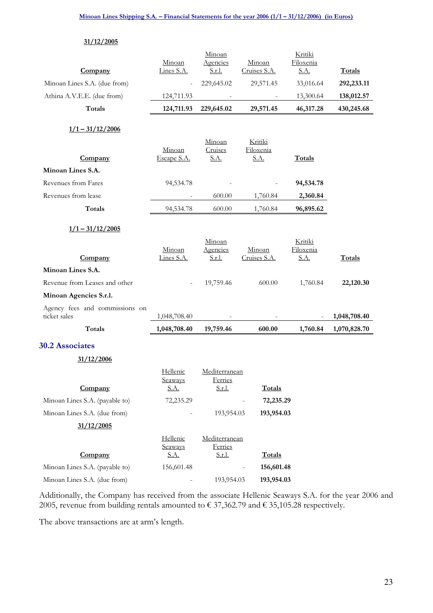31/12/2005

|                                                |                        | Minoan                          |                              | Kritiki       |              |
|------------------------------------------------|------------------------|---------------------------------|------------------------------|---------------|--------------|
|                                                | Minoan                 | Agencies                        | Minoan                       | Filoxenia     |              |
| Company                                        | Lines S.A.             | S.r.l.                          | Cruises S.A.                 | S.A.          | Totals       |
| Minoan Lines S.A. (due from)                   |                        | 229,645.02                      | 29,571.45                    | 33,016.64     | 292,233.11   |
| Athina A.V.E.E. (due from)                     | 124,711.93             |                                 |                              | 13,300.64     | 138,012.57   |
| Totals                                         | 124,711.93             | 229,645.02                      | 29,571.45                    | 46,317.28     | 430,245.68   |
| $1/1 - 31/12/2006$                             |                        |                                 |                              |               |              |
|                                                |                        | Minoan                          | Kritiki                      |               |              |
| Company                                        | Minoan<br>Escape S.A.  | Cruises<br><u>S.A.</u>          | Filoxenia<br><u>S.A.</u>     | <b>Totals</b> |              |
| Minoan Lines S.A.                              |                        |                                 |                              |               |              |
| Revenues from Fares                            | 94,534.78              |                                 |                              | 94,534.78     |              |
| Revenues from lease                            |                        | 600.00                          | 1,760.84                     | 2,360.84      |              |
|                                                |                        |                                 |                              |               |              |
| Totals                                         | 94,534.78              | 600.00                          | 1,760.84                     | 96,895.62     |              |
| $1/1 - 31/12/2005$                             |                        |                                 |                              |               |              |
|                                                |                        | Minoan                          |                              | Kritiki       |              |
|                                                | Minoan                 | <b>Agencies</b>                 | Minoan                       | Filoxenia     |              |
| Company                                        | Lines S.A.             | <u>S.r.l.</u>                   | Cruises S.A.                 | <u>S.A.</u>   | Totals       |
| Minoan Lines S.A.                              |                        |                                 |                              |               |              |
| Revenue from Leases and other                  |                        | 19,759.46                       | 600.00                       | 1,760.84      | 22,120.30    |
| Minoan Agencies S.r.l.                         |                        |                                 |                              |               |              |
| Agency fees and commissions on<br>ticket sales | 1,048,708.40           |                                 |                              |               | 1,048,708.40 |
| Totals                                         | 1,048,708.40           | 19,759.46                       | 600.00                       | 1,760.84      | 1,070,828.70 |
|                                                |                        |                                 |                              |               |              |
| <b>30.2 Associates</b>                         |                        |                                 |                              |               |              |
| 31/12/2006                                     |                        |                                 |                              |               |              |
|                                                | Hellenic               | Mediterranean                   |                              |               |              |
| Company                                        | Seaways<br><u>S.A.</u> | <b>Ferries</b><br><u>S.r.l.</u> | Totals                       |               |              |
| Minoan Lines S.A. (payable to)                 | 72,235.29              |                                 | 72,235.29                    |               |              |
| Minoan Lines S.A. (due from)                   |                        | 193,954.03                      | 193,954.03                   |               |              |
| 31/12/2005                                     |                        |                                 |                              |               |              |
|                                                | Hellenic               | Mediterranean                   |                              |               |              |
|                                                | <u>Seaways</u>         | Ferries                         |                              |               |              |
| Company                                        | <u>S.A.</u>            | <u>S.r.l.</u>                   | Totals                       |               |              |
| Minoan Lines S.A. (payable to)                 | 156,601.48             |                                 | 156,601.48<br>$\blacksquare$ |               |              |
| Minoan Lines S.A. (due from)                   |                        | 193,954.03                      | 193,954.03                   |               |              |

Additionally, the Company has received from the associate Hellenic Seaways S.A. for the year 2006 and 2005, revenue from building rentals amounted to € 37,362.79 and € 35,105.28 respectively.

The above transactions are at arm's length.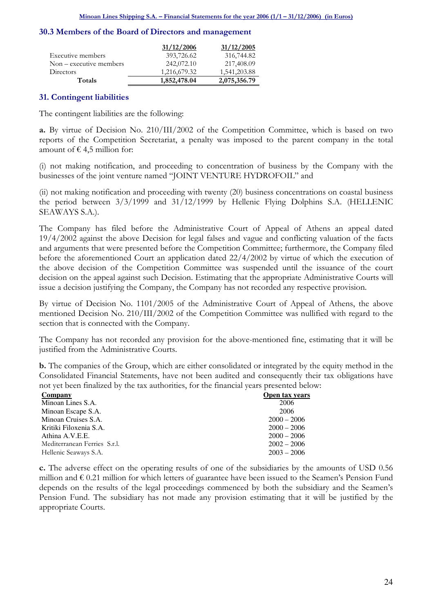#### 30.3 Members of the Board of Directors and management

|                         | 31/12/2006   | 31/12/2005   |
|-------------------------|--------------|--------------|
| Executive members       | 393,726.62   | 316,744.82   |
| $Non-executive$ members | 242,072.10   | 217,408.09   |
| Directors               | 1,216,679.32 | 1,541,203.88 |
| Totals                  | 1,852,478.04 | 2,075,356.79 |

#### 31. Contingent liabilities

The contingent liabilities are the following:

a. By virtue of Decision No. 210/III/2002 of the Competition Committee, which is based on two reports of the Competition Secretariat, a penalty was imposed to the parent company in the total amount of  $\epsilon$  4,5 million for:

(i) not making notification, and proceeding to concentration of business by the Company with the businesses of the joint venture named "JOINT VENTURE HYDROFOIL" and

(ii) not making notification and proceeding with twenty (20) business concentrations on coastal business the period between 3/3/1999 and 31/12/1999 by Hellenic Flying Dolphins S.A. (HELLENIC SEAWAYS S.A.).

The Company has filed before the Administrative Court of Appeal of Athens an appeal dated 19/4/2002 against the above Decision for legal falses and vague and conflicting valuation of the facts and arguments that were presented before the Competition Committee; furthermore, the Company filed before the aforementioned Court an application dated 22/4/2002 by virtue of which the execution of the above decision of the Competition Committee was suspended until the issuance of the court decision on the appeal against such Decision. Estimating that the appropriate Administrative Courts will issue a decision justifying the Company, the Company has not recorded any respective provision.

By virtue of Decision No. 1101/2005 of the Administrative Court of Appeal of Athens, the above mentioned Decision No. 210/III/2002 of the Competition Committee was nullified with regard to the section that is connected with the Company.

The Company has not recorded any provision for the above-mentioned fine, estimating that it will be justified from the Administrative Courts.

b. The companies of the Group, which are either consolidated or integrated by the equity method in the Consolidated Financial Statements, have not been audited and consequently their tax obligations have not yet been finalized by the tax authorities, for the financial years presented below:

| Company                      | Open tax years |
|------------------------------|----------------|
| Minoan Lines S.A.            | 2006           |
| Minoan Escape S.A.           | 2006           |
| Minoan Cruises S.A.          | $2000 - 2006$  |
| Kritiki Filoxenia S.A.       | $2000 - 2006$  |
| Athina A.V.E.E.              | $2000 - 2006$  |
| Mediterranean Ferries S.r.l. | $2002 - 2006$  |
| Hellenic Seaways S.A.        | $2003 - 2006$  |

c. The adverse effect on the operating results of one of the subsidiaries by the amounts of USD 0.56 million and  $\epsilon$  0.21 million for which letters of guarantee have been issued to the Seamen's Pension Fund depends on the results of the legal proceedings commenced by both the subsidiary and the Seamen's Pension Fund. The subsidiary has not made any provision estimating that it will be justified by the appropriate Courts.